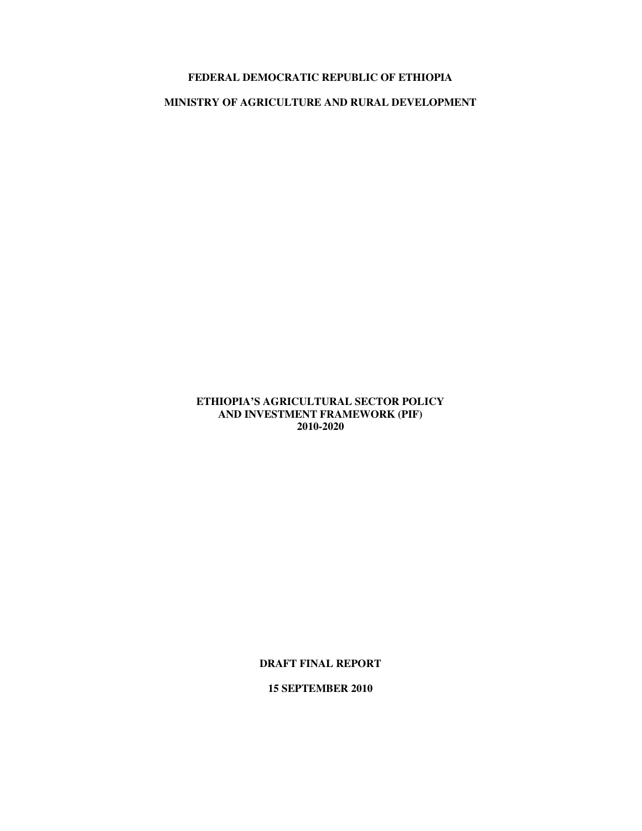# **FEDERAL DEMOCRATIC REPUBLIC OF ETHIOPIA**

# **MINISTRY OF AGRICULTURE AND RURAL DEVELOPMENT**

# **ETHIOPIA'S AGRICULTURAL SECTOR POLICY AND INVESTMENT FRAMEWORK (PIF) 2010-2020**

**DRAFT FINAL REPORT** 

**15 SEPTEMBER 2010**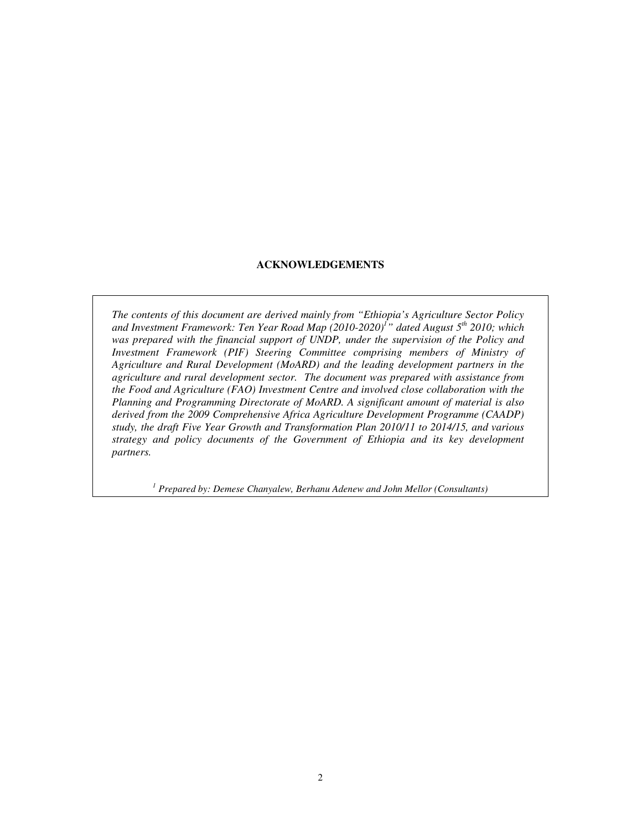# **ACKNOWLEDGEMENTS**

*The contents of this document are derived mainly from "Ethiopia's Agriculture Sector Policy and Investment Framework: Ten Year Road Map (2010-2020)<sup>1</sup> " dated August 5th 2010; which was prepared with the financial support of UNDP, under the supervision of the Policy and Investment Framework (PIF) Steering Committee comprising members of Ministry of Agriculture and Rural Development (MoARD) and the leading development partners in the agriculture and rural development sector. The document was prepared with assistance from the Food and Agriculture (FAO) Investment Centre and involved close collaboration with the Planning and Programming Directorate of MoARD. A significant amount of material is also derived from the 2009 Comprehensive Africa Agriculture Development Programme (CAADP) study, the draft Five Year Growth and Transformation Plan 2010/11 to 2014/15, and various strategy and policy documents of the Government of Ethiopia and its key development partners.*

<sup>1</sup> Prepared by: Demese Chanyalew, Berhanu Adenew and John Mellor (Consultants)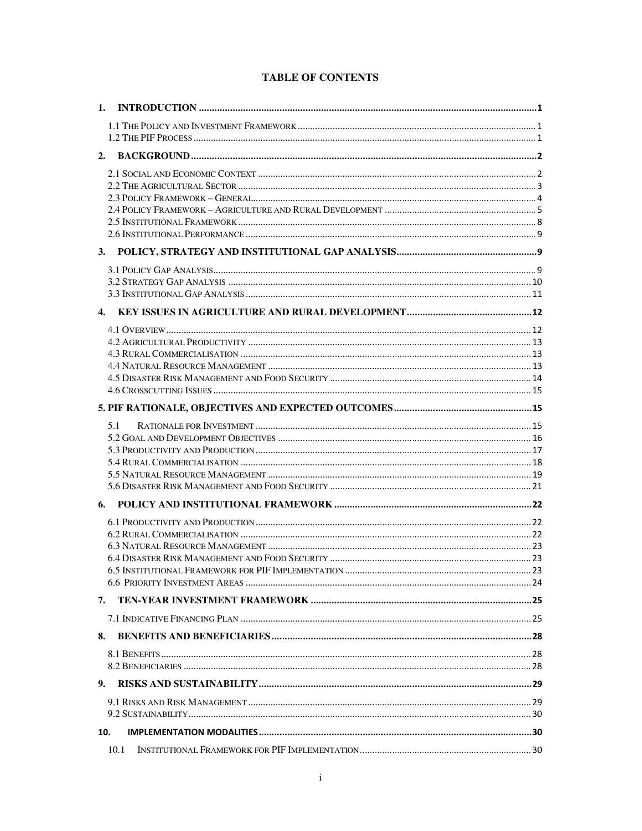|  | <b>TABLE OF CONTENTS</b> |
|--|--------------------------|
|--|--------------------------|

| 5.1 |  |
|-----|--|
|     |  |
|     |  |
|     |  |
|     |  |
|     |  |
|     |  |
|     |  |
|     |  |
|     |  |
|     |  |
|     |  |
|     |  |
| 7.  |  |
|     |  |
|     |  |
| 8.  |  |
|     |  |
| 9.  |  |
|     |  |
|     |  |
| 10. |  |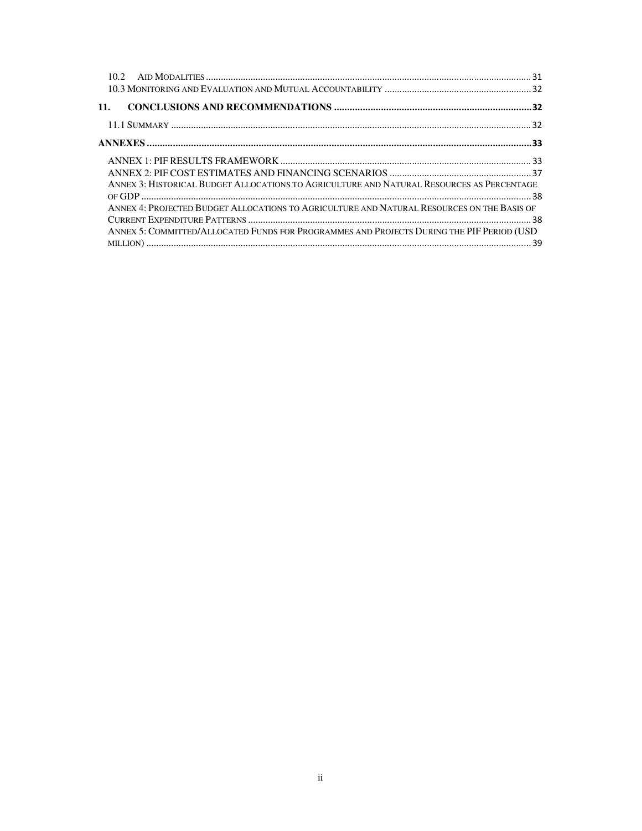| 11.                                                                                        |  |
|--------------------------------------------------------------------------------------------|--|
|                                                                                            |  |
|                                                                                            |  |
|                                                                                            |  |
|                                                                                            |  |
| ANNEX 3: HISTORICAL BUDGET ALLOCATIONS TO AGRICULTURE AND NATURAL RESOURCES AS PERCENTAGE  |  |
|                                                                                            |  |
| ANNEX 4: PROJECTED BUDGET ALLOCATIONS TO AGRICULTURE AND NATURAL RESOURCES ON THE BASIS OF |  |
|                                                                                            |  |
| ANNEX 5: COMMITTED/ALLOCATED FUNDS FOR PROGRAMMES AND PROJECTS DURING THE PIF PERIOD (USD  |  |
|                                                                                            |  |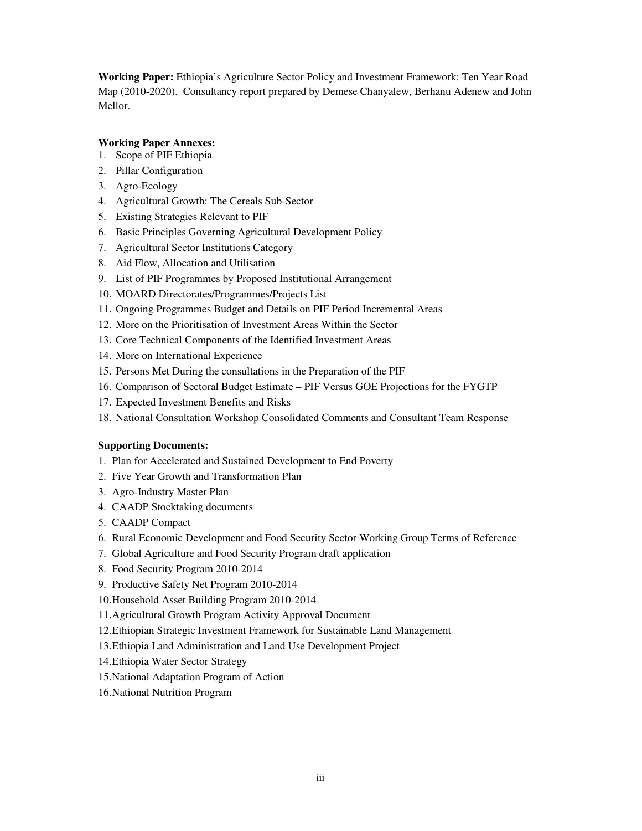**Working Paper:** Ethiopia's Agriculture Sector Policy and Investment Framework: Ten Year Road Map (2010-2020). Consultancy report prepared by Demese Chanyalew, Berhanu Adenew and John Mellor.

# **Working Paper Annexes:**

- 1. Scope of PIF Ethiopia
- 2. Pillar Configuration
- 3. Agro-Ecology
- 4. Agricultural Growth: The Cereals Sub-Sector
- 5. Existing Strategies Relevant to PIF
- 6. Basic Principles Governing Agricultural Development Policy
- 7. Agricultural Sector Institutions Category
- 8. Aid Flow, Allocation and Utilisation
- 9. List of PIF Programmes by Proposed Institutional Arrangement
- 10. MOARD Directorates/Programmes/Projects List
- 11. Ongoing Programmes Budget and Details on PIF Period Incremental Areas
- 12. More on the Prioritisation of Investment Areas Within the Sector
- 13. Core Technical Components of the Identified Investment Areas
- 14. More on International Experience
- 15. Persons Met During the consultations in the Preparation of the PIF
- 16. Comparison of Sectoral Budget Estimate PIF Versus GOE Projections for the FYGTP
- 17. Expected Investment Benefits and Risks
- 18. National Consultation Workshop Consolidated Comments and Consultant Team Response

# **Supporting Documents:**

- 1. Plan for Accelerated and Sustained Development to End Poverty
- 2. Five Year Growth and Transformation Plan
- 3. Agro-Industry Master Plan
- 4. CAADP Stocktaking documents
- 5. CAADP Compact
- 6. Rural Economic Development and Food Security Sector Working Group Terms of Reference
- 7. Global Agriculture and Food Security Program draft application
- 8. Food Security Program 2010-2014
- 9. Productive Safety Net Program 2010-2014
- 10.Household Asset Building Program 2010-2014
- 11.Agricultural Growth Program Activity Approval Document
- 12.Ethiopian Strategic Investment Framework for Sustainable Land Management
- 13.Ethiopia Land Administration and Land Use Development Project
- 14.Ethiopia Water Sector Strategy
- 15.National Adaptation Program of Action
- 16.National Nutrition Program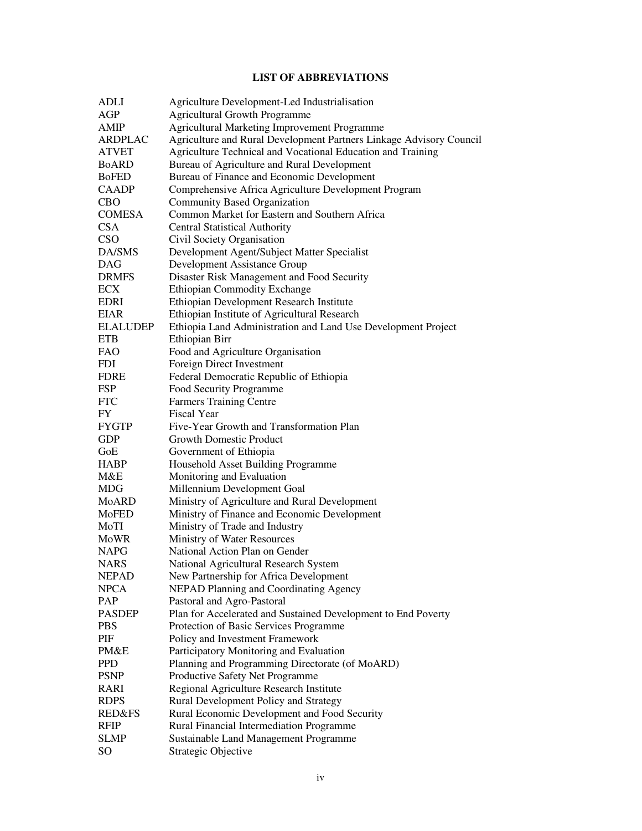# **LIST OF ABBREVIATIONS**

| <b>ADLI</b>         | Agriculture Development-Led Industrialisation                       |
|---------------------|---------------------------------------------------------------------|
| AGP                 | <b>Agricultural Growth Programme</b>                                |
| <b>AMIP</b>         | Agricultural Marketing Improvement Programme                        |
| ARDPLAC             | Agriculture and Rural Development Partners Linkage Advisory Council |
| <b>ATVET</b>        | Agriculture Technical and Vocational Education and Training         |
| <b>BoARD</b>        | Bureau of Agriculture and Rural Development                         |
| <b>BoFED</b>        | Bureau of Finance and Economic Development                          |
| <b>CAADP</b>        | Comprehensive Africa Agriculture Development Program                |
| <b>CBO</b>          | <b>Community Based Organization</b>                                 |
| <b>COMESA</b>       | Common Market for Eastern and Southern Africa                       |
| <b>CSA</b>          | <b>Central Statistical Authority</b>                                |
| <b>CSO</b>          | Civil Society Organisation                                          |
| DA/SMS              | Development Agent/Subject Matter Specialist                         |
| <b>DAG</b>          | Development Assistance Group                                        |
| <b>DRMFS</b>        | Disaster Risk Management and Food Security                          |
| <b>ECX</b>          | <b>Ethiopian Commodity Exchange</b>                                 |
| <b>EDRI</b>         | Ethiopian Development Research Institute                            |
| <b>EIAR</b>         | Ethiopian Institute of Agricultural Research                        |
| <b>ELALUDEP</b>     | Ethiopia Land Administration and Land Use Development Project       |
| <b>ETB</b>          | Ethiopian Birr                                                      |
| <b>FAO</b>          | Food and Agriculture Organisation                                   |
| <b>FDI</b>          | Foreign Direct Investment                                           |
| <b>FDRE</b>         | Federal Democratic Republic of Ethiopia                             |
| <b>FSP</b>          | Food Security Programme                                             |
| <b>FTC</b>          | <b>Farmers Training Centre</b>                                      |
| FY                  | <b>Fiscal Year</b>                                                  |
| <b>FYGTP</b>        | Five-Year Growth and Transformation Plan                            |
| <b>GDP</b>          | <b>Growth Domestic Product</b>                                      |
| GoE                 | Government of Ethiopia                                              |
| <b>HABP</b>         | Household Asset Building Programme                                  |
| M&E                 | Monitoring and Evaluation                                           |
| <b>MDG</b>          | Millennium Development Goal                                         |
| <b>MoARD</b>        | Ministry of Agriculture and Rural Development                       |
| MoFED               | Ministry of Finance and Economic Development                        |
| MoTI                | Ministry of Trade and Industry                                      |
| MoWR                | Ministry of Water Resources                                         |
| <b>NAPG</b>         | National Action Plan on Gender                                      |
| NARS                | National Agricultural Research System                               |
| <b>NEPAD</b>        | New Partnership for Africa Development                              |
| <b>NPCA</b>         | NEPAD Planning and Coordinating Agency                              |
| PAP                 | Pastoral and Agro-Pastoral                                          |
| <b>PASDEP</b>       | Plan for Accelerated and Sustained Development to End Poverty       |
| <b>PBS</b>          | Protection of Basic Services Programme                              |
| PIF                 | Policy and Investment Framework                                     |
| PM&E                | Participatory Monitoring and Evaluation                             |
| <b>PPD</b>          | Planning and Programming Directorate (of MoARD)                     |
| <b>PSNP</b>         | Productive Safety Net Programme                                     |
|                     |                                                                     |
| RARI<br><b>RDPS</b> | Regional Agriculture Research Institute                             |
| <b>RED&amp;FS</b>   | Rural Development Policy and Strategy                               |
|                     | Rural Economic Development and Food Security                        |
| <b>RFIP</b>         | Rural Financial Intermediation Programme                            |
| <b>SLMP</b>         | <b>Sustainable Land Management Programme</b>                        |
| SO                  | Strategic Objective                                                 |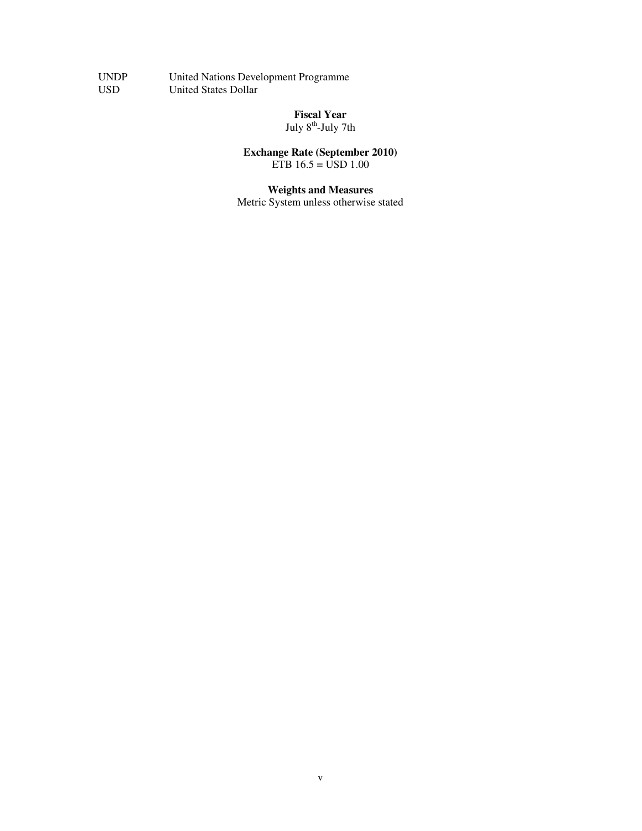UNDP United Nations Development Programme USD United States Dollar

> **Fiscal Year**  July 8<sup>th</sup>-July 7th

 **Exchange Rate (September 2010)**  ETB 16.5 = USD 1.00

> **Weights and Measures**  Metric System unless otherwise stated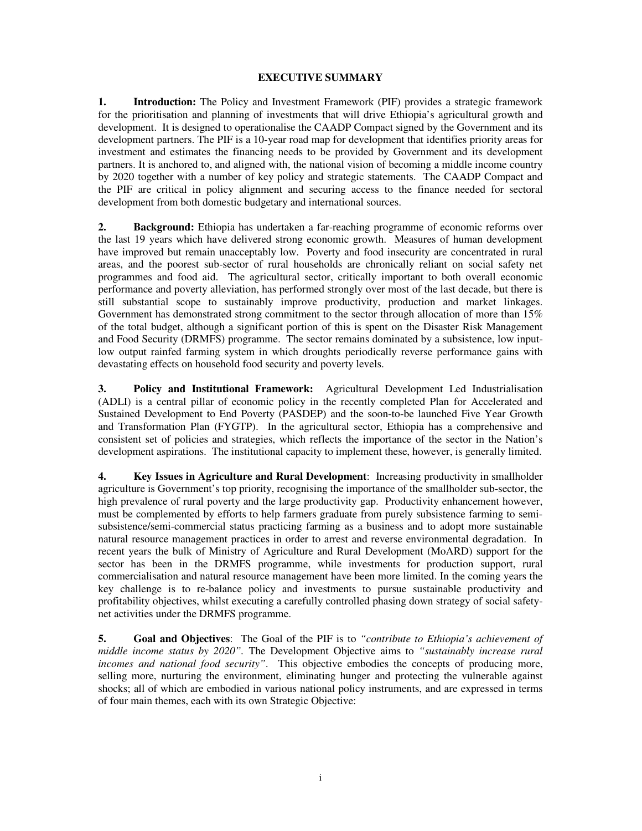### **EXECUTIVE SUMMARY**

**1. Introduction:** The Policy and Investment Framework (PIF) provides a strategic framework for the prioritisation and planning of investments that will drive Ethiopia's agricultural growth and development. It is designed to operationalise the CAADP Compact signed by the Government and its development partners. The PIF is a 10-year road map for development that identifies priority areas for investment and estimates the financing needs to be provided by Government and its development partners. It is anchored to, and aligned with, the national vision of becoming a middle income country by 2020 together with a number of key policy and strategic statements. The CAADP Compact and the PIF are critical in policy alignment and securing access to the finance needed for sectoral development from both domestic budgetary and international sources.

**2. Background:** Ethiopia has undertaken a far-reaching programme of economic reforms over the last 19 years which have delivered strong economic growth. Measures of human development have improved but remain unacceptably low. Poverty and food insecurity are concentrated in rural areas, and the poorest sub-sector of rural households are chronically reliant on social safety net programmes and food aid. The agricultural sector, critically important to both overall economic performance and poverty alleviation, has performed strongly over most of the last decade, but there is still substantial scope to sustainably improve productivity, production and market linkages. Government has demonstrated strong commitment to the sector through allocation of more than 15% of the total budget, although a significant portion of this is spent on the Disaster Risk Management and Food Security (DRMFS) programme. The sector remains dominated by a subsistence, low inputlow output rainfed farming system in which droughts periodically reverse performance gains with devastating effects on household food security and poverty levels.

**3. Policy and Institutional Framework:** Agricultural Development Led Industrialisation (ADLI) is a central pillar of economic policy in the recently completed Plan for Accelerated and Sustained Development to End Poverty (PASDEP) and the soon-to-be launched Five Year Growth and Transformation Plan (FYGTP). In the agricultural sector, Ethiopia has a comprehensive and consistent set of policies and strategies, which reflects the importance of the sector in the Nation's development aspirations. The institutional capacity to implement these, however, is generally limited.

**4. Key Issues in Agriculture and Rural Development**: Increasing productivity in smallholder agriculture is Government's top priority, recognising the importance of the smallholder sub-sector, the high prevalence of rural poverty and the large productivity gap. Productivity enhancement however, must be complemented by efforts to help farmers graduate from purely subsistence farming to semisubsistence/semi-commercial status practicing farming as a business and to adopt more sustainable natural resource management practices in order to arrest and reverse environmental degradation. In recent years the bulk of Ministry of Agriculture and Rural Development (MoARD) support for the sector has been in the DRMFS programme, while investments for production support, rural commercialisation and natural resource management have been more limited. In the coming years the key challenge is to re-balance policy and investments to pursue sustainable productivity and profitability objectives, whilst executing a carefully controlled phasing down strategy of social safetynet activities under the DRMFS programme.

**5. Goal and Objectives**: The Goal of the PIF is to *"contribute to Ethiopia's achievement of middle income status by 2020".* The Development Objective aims to *"sustainably increase rural incomes and national food security"*. This objective embodies the concepts of producing more, selling more, nurturing the environment, eliminating hunger and protecting the vulnerable against shocks; all of which are embodied in various national policy instruments, and are expressed in terms of four main themes, each with its own Strategic Objective: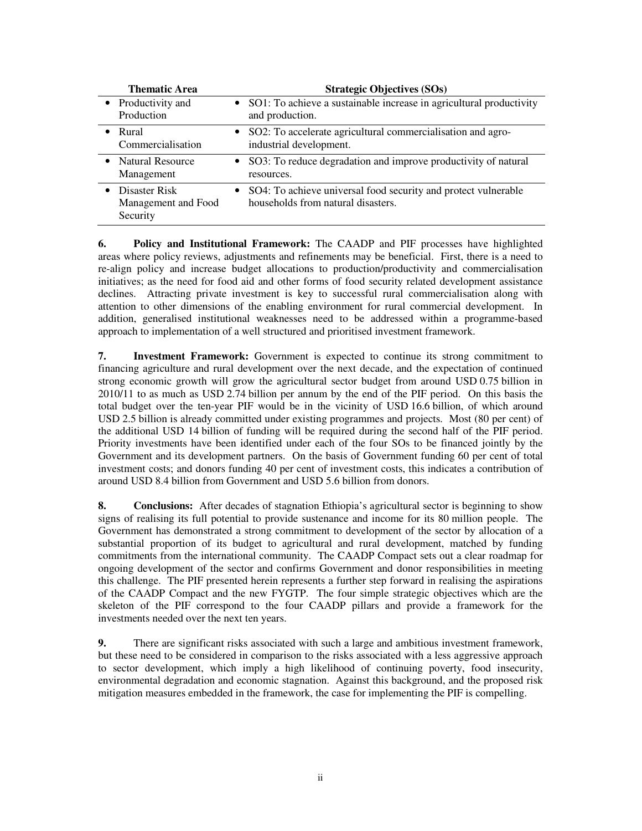| <b>Thematic Area</b>                                          | <b>Strategic Objectives (SOs)</b>                                                                      |
|---------------------------------------------------------------|--------------------------------------------------------------------------------------------------------|
| • Productivity and<br>Production                              | • SO1: To achieve a sustainable increase in agricultural productivity<br>and production.               |
| Rural<br>$\bullet$<br>Commercialisation                       | • SO2: To accelerate agricultural commercialisation and agro-<br>industrial development.               |
| • Natural Resource<br>Management                              | • SO3: To reduce degradation and improve productivity of natural<br>resources.                         |
| Disaster Risk<br>$\bullet$<br>Management and Food<br>Security | • SO4: To achieve universal food security and protect vulnerable<br>households from natural disasters. |

**6. Policy and Institutional Framework:** The CAADP and PIF processes have highlighted areas where policy reviews, adjustments and refinements may be beneficial. First, there is a need to re-align policy and increase budget allocations to production/productivity and commercialisation initiatives; as the need for food aid and other forms of food security related development assistance declines. Attracting private investment is key to successful rural commercialisation along with attention to other dimensions of the enabling environment for rural commercial development. In addition, generalised institutional weaknesses need to be addressed within a programme-based approach to implementation of a well structured and prioritised investment framework.

**7. Investment Framework:** Government is expected to continue its strong commitment to financing agriculture and rural development over the next decade, and the expectation of continued strong economic growth will grow the agricultural sector budget from around USD 0.75 billion in 2010/11 to as much as USD 2.74 billion per annum by the end of the PIF period. On this basis the total budget over the ten-year PIF would be in the vicinity of USD 16.6 billion, of which around USD 2.5 billion is already committed under existing programmes and projects. Most (80 per cent) of the additional USD 14 billion of funding will be required during the second half of the PIF period. Priority investments have been identified under each of the four SOs to be financed jointly by the Government and its development partners. On the basis of Government funding 60 per cent of total investment costs; and donors funding 40 per cent of investment costs, this indicates a contribution of around USD 8.4 billion from Government and USD 5.6 billion from donors.

**8. Conclusions:** After decades of stagnation Ethiopia's agricultural sector is beginning to show signs of realising its full potential to provide sustenance and income for its 80 million people. The Government has demonstrated a strong commitment to development of the sector by allocation of a substantial proportion of its budget to agricultural and rural development, matched by funding commitments from the international community. The CAADP Compact sets out a clear roadmap for ongoing development of the sector and confirms Government and donor responsibilities in meeting this challenge. The PIF presented herein represents a further step forward in realising the aspirations of the CAADP Compact and the new FYGTP. The four simple strategic objectives which are the skeleton of the PIF correspond to the four CAADP pillars and provide a framework for the investments needed over the next ten years.

**9.** There are significant risks associated with such a large and ambitious investment framework, but these need to be considered in comparison to the risks associated with a less aggressive approach to sector development, which imply a high likelihood of continuing poverty, food insecurity, environmental degradation and economic stagnation. Against this background, and the proposed risk mitigation measures embedded in the framework, the case for implementing the PIF is compelling.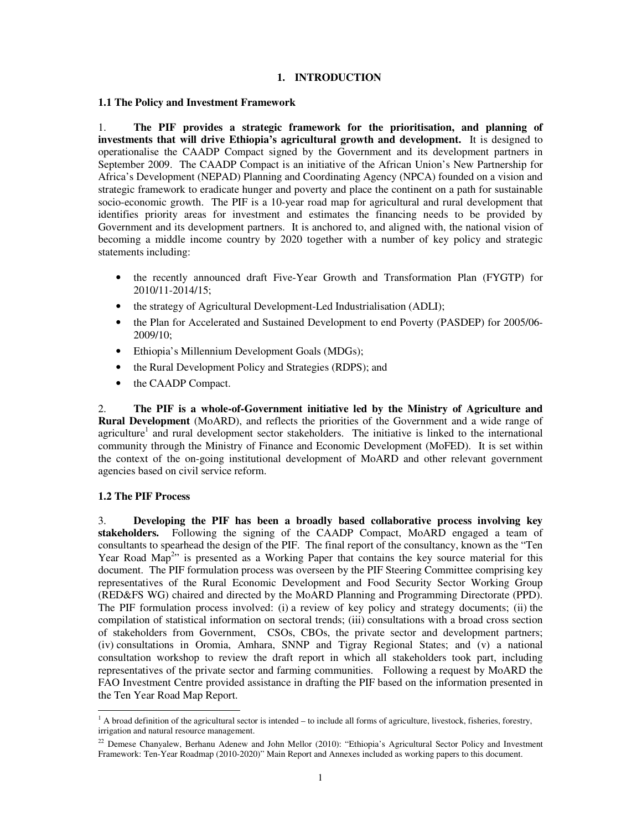### **1. INTRODUCTION**

#### **1.1 The Policy and Investment Framework**

1. **The PIF provides a strategic framework for the prioritisation, and planning of investments that will drive Ethiopia's agricultural growth and development.** It is designed to operationalise the CAADP Compact signed by the Government and its development partners in September 2009. The CAADP Compact is an initiative of the African Union's New Partnership for Africa's Development (NEPAD) Planning and Coordinating Agency (NPCA) founded on a vision and strategic framework to eradicate hunger and poverty and place the continent on a path for sustainable socio-economic growth. The PIF is a 10-year road map for agricultural and rural development that identifies priority areas for investment and estimates the financing needs to be provided by Government and its development partners. It is anchored to, and aligned with, the national vision of becoming a middle income country by 2020 together with a number of key policy and strategic statements including:

- the recently announced draft Five-Year Growth and Transformation Plan (FYGTP) for 2010/11-2014/15;
- the strategy of Agricultural Development-Led Industrialisation (ADLI);
- the Plan for Accelerated and Sustained Development to end Poverty (PASDEP) for 2005/06-2009/10;
- Ethiopia's Millennium Development Goals (MDGs);
- the Rural Development Policy and Strategies (RDPS); and
- the CAADP Compact.

2. **The PIF is a whole-of-Government initiative led by the Ministry of Agriculture and Rural Development** (MoARD), and reflects the priorities of the Government and a wide range of agriculture<sup>1</sup> and rural development sector stakeholders. The initiative is linked to the international community through the Ministry of Finance and Economic Development (MoFED). It is set within the context of the on-going institutional development of MoARD and other relevant government agencies based on civil service reform.

### **1.2 The PIF Process**

 $\overline{a}$ 

3. **Developing the PIF has been a broadly based collaborative process involving key stakeholders.** Following the signing of the CAADP Compact, MoARD engaged a team of consultants to spearhead the design of the PIF. The final report of the consultancy, known as the "Ten Year Road Map<sup>2</sup>" is presented as a Working Paper that contains the key source material for this document. The PIF formulation process was overseen by the PIF Steering Committee comprising key representatives of the Rural Economic Development and Food Security Sector Working Group (RED&FS WG) chaired and directed by the MoARD Planning and Programming Directorate (PPD). The PIF formulation process involved: (i) a review of key policy and strategy documents; (ii) the compilation of statistical information on sectoral trends; (iii) consultations with a broad cross section of stakeholders from Government, CSOs, CBOs, the private sector and development partners; (iv) consultations in Oromia, Amhara, SNNP and Tigray Regional States; and (v) a national consultation workshop to review the draft report in which all stakeholders took part, including representatives of the private sector and farming communities. Following a request by MoARD the FAO Investment Centre provided assistance in drafting the PIF based on the information presented in the Ten Year Road Map Report.

<sup>&</sup>lt;sup>1</sup> A broad definition of the agricultural sector is intended – to include all forms of agriculture, livestock, fisheries, forestry, irrigation and natural resource management.

<sup>&</sup>lt;sup>22</sup> Demese Chanyalew, Berhanu Adenew and John Mellor (2010): "Ethiopia's Agricultural Sector Policy and Investment Framework: Ten-Year Roadmap (2010-2020)" Main Report and Annexes included as working papers to this document.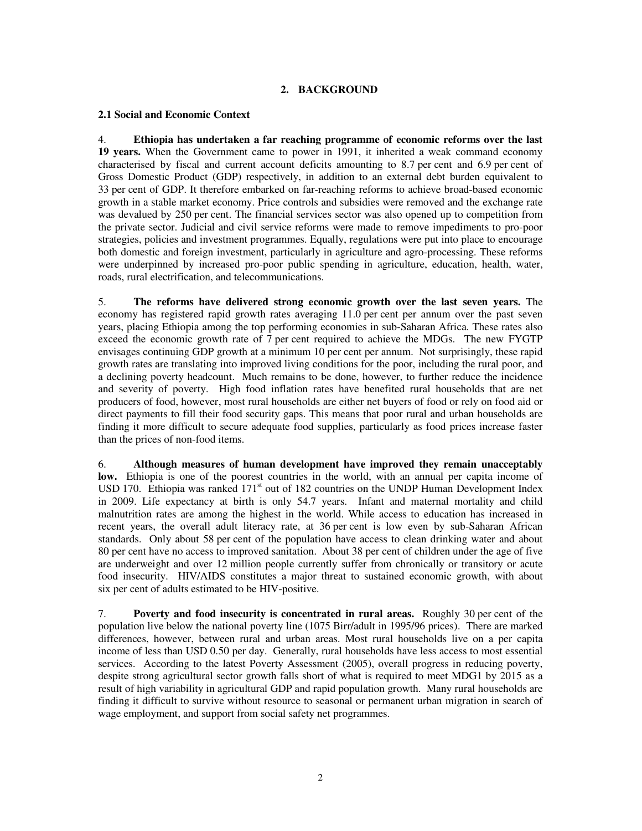# **2. BACKGROUND**

### **2.1 Social and Economic Context**

4. **Ethiopia has undertaken a far reaching programme of economic reforms over the last 19 years.** When the Government came to power in 1991, it inherited a weak command economy characterised by fiscal and current account deficits amounting to 8.7 per cent and 6.9 per cent of Gross Domestic Product (GDP) respectively, in addition to an external debt burden equivalent to 33 per cent of GDP. It therefore embarked on far-reaching reforms to achieve broad-based economic growth in a stable market economy. Price controls and subsidies were removed and the exchange rate was devalued by 250 per cent. The financial services sector was also opened up to competition from the private sector. Judicial and civil service reforms were made to remove impediments to pro-poor strategies, policies and investment programmes. Equally, regulations were put into place to encourage both domestic and foreign investment, particularly in agriculture and agro-processing. These reforms were underpinned by increased pro-poor public spending in agriculture, education, health, water, roads, rural electrification, and telecommunications.

5. **The reforms have delivered strong economic growth over the last seven years.** The economy has registered rapid growth rates averaging 11.0 per cent per annum over the past seven years, placing Ethiopia among the top performing economies in sub-Saharan Africa. These rates also exceed the economic growth rate of 7 per cent required to achieve the MDGs. The new FYGTP envisages continuing GDP growth at a minimum 10 per cent per annum. Not surprisingly, these rapid growth rates are translating into improved living conditions for the poor, including the rural poor, and a declining poverty headcount. Much remains to be done, however, to further reduce the incidence and severity of poverty. High food inflation rates have benefited rural households that are net producers of food, however, most rural households are either net buyers of food or rely on food aid or direct payments to fill their food security gaps. This means that poor rural and urban households are finding it more difficult to secure adequate food supplies, particularly as food prices increase faster than the prices of non-food items.

6. **Although measures of human development have improved they remain unacceptably**  low. Ethiopia is one of the poorest countries in the world, with an annual per capita income of USD 170. Ethiopia was ranked  $171<sup>st</sup>$  out of 182 countries on the UNDP Human Development Index in 2009. Life expectancy at birth is only 54.7 years. Infant and maternal mortality and child malnutrition rates are among the highest in the world. While access to education has increased in recent years, the overall adult literacy rate, at 36 per cent is low even by sub-Saharan African standards. Only about 58 per cent of the population have access to clean drinking water and about 80 per cent have no access to improved sanitation. About 38 per cent of children under the age of five are underweight and over 12 million people currently suffer from chronically or transitory or acute food insecurity. HIV/AIDS constitutes a major threat to sustained economic growth, with about six per cent of adults estimated to be HIV-positive.

7. **Poverty and food insecurity is concentrated in rural areas.** Roughly 30 per cent of the population live below the national poverty line (1075 Birr/adult in 1995/96 prices). There are marked differences, however, between rural and urban areas. Most rural households live on a per capita income of less than USD 0.50 per day. Generally, rural households have less access to most essential services. According to the latest Poverty Assessment (2005), overall progress in reducing poverty, despite strong agricultural sector growth falls short of what is required to meet MDG1 by 2015 as a result of high variability in agricultural GDP and rapid population growth. Many rural households are finding it difficult to survive without resource to seasonal or permanent urban migration in search of wage employment, and support from social safety net programmes.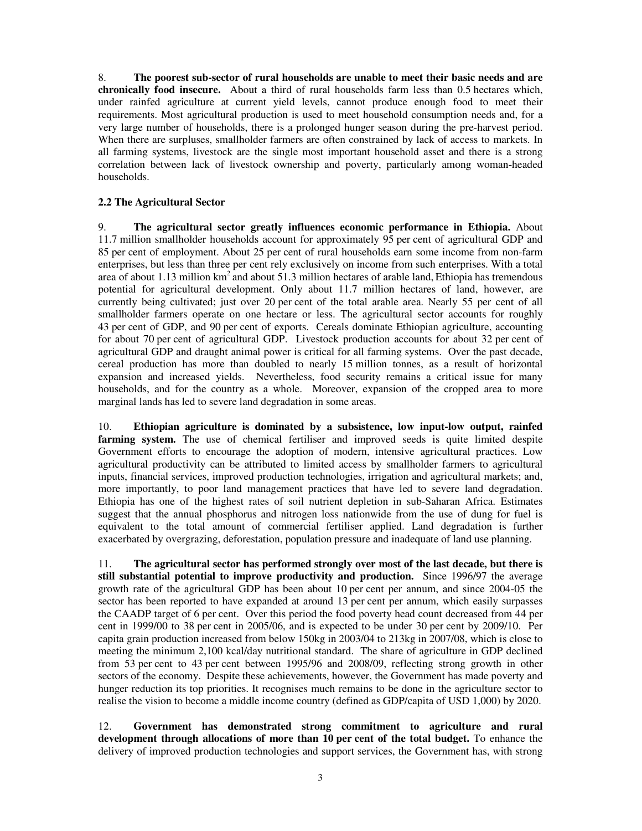8. **The poorest sub-sector of rural households are unable to meet their basic needs and are chronically food insecure.** About a third of rural households farm less than 0.5 hectares which, under rainfed agriculture at current yield levels, cannot produce enough food to meet their requirements. Most agricultural production is used to meet household consumption needs and, for a very large number of households, there is a prolonged hunger season during the pre-harvest period. When there are surpluses, smallholder farmers are often constrained by lack of access to markets. In all farming systems, livestock are the single most important household asset and there is a strong correlation between lack of livestock ownership and poverty, particularly among woman-headed households.

## **2.2 The Agricultural Sector**

9. **The agricultural sector greatly influences economic performance in Ethiopia.** About 11.7 million smallholder households account for approximately 95 per cent of agricultural GDP and 85 per cent of employment. About 25 per cent of rural households earn some income from non-farm enterprises, but less than three per cent rely exclusively on income from such enterprises. With a total area of about 1.13 million  $km^2$  and about 51.3 million hectares of arable land, Ethiopia has tremendous potential for agricultural development. Only about 11.7 million hectares of land, however, are currently being cultivated; just over 20 per cent of the total arable area. Nearly 55 per cent of all smallholder farmers operate on one hectare or less. The agricultural sector accounts for roughly 43 per cent of GDP, and 90 per cent of exports. Cereals dominate Ethiopian agriculture, accounting for about 70 per cent of agricultural GDP. Livestock production accounts for about 32 per cent of agricultural GDP and draught animal power is critical for all farming systems. Over the past decade, cereal production has more than doubled to nearly 15 million tonnes, as a result of horizontal expansion and increased yields. Nevertheless, food security remains a critical issue for many households, and for the country as a whole. Moreover, expansion of the cropped area to more marginal lands has led to severe land degradation in some areas.

10. **Ethiopian agriculture is dominated by a subsistence, low input-low output, rainfed**  farming system. The use of chemical fertiliser and improved seeds is quite limited despite Government efforts to encourage the adoption of modern, intensive agricultural practices. Low agricultural productivity can be attributed to limited access by smallholder farmers to agricultural inputs, financial services, improved production technologies, irrigation and agricultural markets; and, more importantly, to poor land management practices that have led to severe land degradation. Ethiopia has one of the highest rates of soil nutrient depletion in sub-Saharan Africa. Estimates suggest that the annual phosphorus and nitrogen loss nationwide from the use of dung for fuel is equivalent to the total amount of commercial fertiliser applied. Land degradation is further exacerbated by overgrazing, deforestation, population pressure and inadequate of land use planning.

11. **The agricultural sector has performed strongly over most of the last decade, but there is still substantial potential to improve productivity and production.** Since 1996/97 the average growth rate of the agricultural GDP has been about 10 per cent per annum, and since 2004-05 the sector has been reported to have expanded at around 13 per cent per annum, which easily surpasses the CAADP target of 6 per cent. Over this period the food poverty head count decreased from 44 per cent in 1999/00 to 38 per cent in 2005/06, and is expected to be under 30 per cent by 2009/10. Per capita grain production increased from below 150kg in 2003/04 to 213kg in 2007/08, which is close to meeting the minimum 2,100 kcal/day nutritional standard. The share of agriculture in GDP declined from 53 per cent to 43 per cent between 1995/96 and 2008/09, reflecting strong growth in other sectors of the economy. Despite these achievements, however, the Government has made poverty and hunger reduction its top priorities. It recognises much remains to be done in the agriculture sector to realise the vision to become a middle income country (defined as GDP/capita of USD 1,000) by 2020.

12. **Government has demonstrated strong commitment to agriculture and rural development through allocations of more than 10 per cent of the total budget.** To enhance the delivery of improved production technologies and support services, the Government has, with strong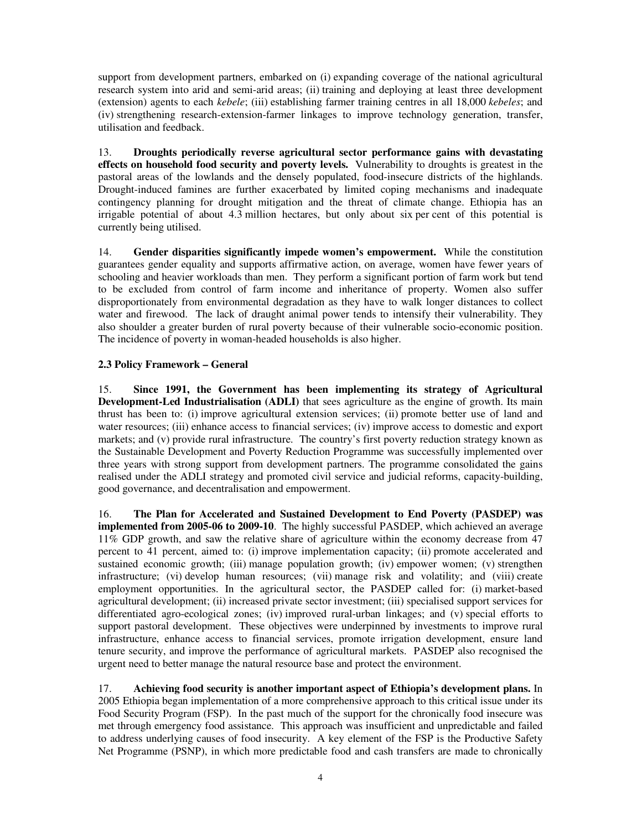support from development partners, embarked on (i) expanding coverage of the national agricultural research system into arid and semi-arid areas; (ii) training and deploying at least three development (extension) agents to each *kebele*; (iii) establishing farmer training centres in all 18,000 *kebeles*; and (iv) strengthening research-extension-farmer linkages to improve technology generation, transfer, utilisation and feedback.

13. **Droughts periodically reverse agricultural sector performance gains with devastating effects on household food security and poverty levels.** Vulnerability to droughts is greatest in the pastoral areas of the lowlands and the densely populated, food-insecure districts of the highlands. Drought-induced famines are further exacerbated by limited coping mechanisms and inadequate contingency planning for drought mitigation and the threat of climate change. Ethiopia has an irrigable potential of about  $4.\overline{3}$  million hectares, but only about six per cent of this potential is currently being utilised.

14. **Gender disparities significantly impede women's empowerment.** While the constitution guarantees gender equality and supports affirmative action, on average, women have fewer years of schooling and heavier workloads than men. They perform a significant portion of farm work but tend to be excluded from control of farm income and inheritance of property. Women also suffer disproportionately from environmental degradation as they have to walk longer distances to collect water and firewood. The lack of draught animal power tends to intensify their vulnerability. They also shoulder a greater burden of rural poverty because of their vulnerable socio-economic position. The incidence of poverty in woman-headed households is also higher.

## **2.3 Policy Framework – General**

15. **Since 1991, the Government has been implementing its strategy of Agricultural Development-Led Industrialisation (ADLI)** that sees agriculture as the engine of growth. Its main thrust has been to: (i) improve agricultural extension services; (ii) promote better use of land and water resources; (iii) enhance access to financial services; (iv) improve access to domestic and export markets; and (v) provide rural infrastructure. The country's first poverty reduction strategy known as the Sustainable Development and Poverty Reduction Programme was successfully implemented over three years with strong support from development partners. The programme consolidated the gains realised under the ADLI strategy and promoted civil service and judicial reforms, capacity-building, good governance, and decentralisation and empowerment.

16. **The Plan for Accelerated and Sustained Development to End Poverty (PASDEP) was implemented from 2005-06 to 2009-10**. The highly successful PASDEP, which achieved an average 11% GDP growth, and saw the relative share of agriculture within the economy decrease from 47 percent to 41 percent, aimed to: (i) improve implementation capacity; (ii) promote accelerated and sustained economic growth; (iii) manage population growth; (iv) empower women; (v) strengthen infrastructure; (vi) develop human resources; (vii) manage risk and volatility; and (viii) create employment opportunities. In the agricultural sector, the PASDEP called for: (i) market-based agricultural development; (ii) increased private sector investment; (iii) specialised support services for differentiated agro-ecological zones; (iv) improved rural-urban linkages; and (v) special efforts to support pastoral development. These objectives were underpinned by investments to improve rural infrastructure, enhance access to financial services, promote irrigation development, ensure land tenure security, and improve the performance of agricultural markets. PASDEP also recognised the urgent need to better manage the natural resource base and protect the environment.

17. **Achieving food security is another important aspect of Ethiopia's development plans.** In 2005 Ethiopia began implementation of a more comprehensive approach to this critical issue under its Food Security Program (FSP). In the past much of the support for the chronically food insecure was met through emergency food assistance. This approach was insufficient and unpredictable and failed to address underlying causes of food insecurity. A key element of the FSP is the Productive Safety Net Programme (PSNP), in which more predictable food and cash transfers are made to chronically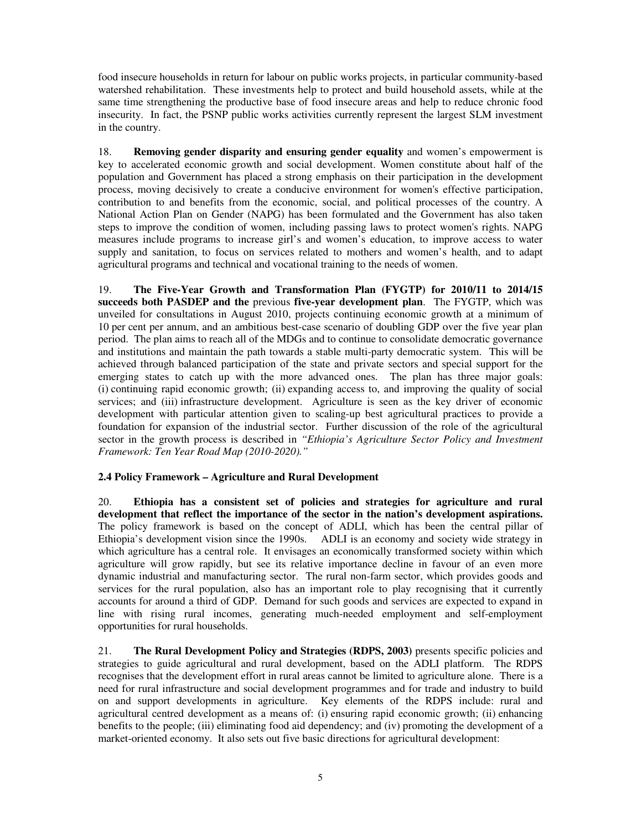food insecure households in return for labour on public works projects, in particular community-based watershed rehabilitation. These investments help to protect and build household assets, while at the same time strengthening the productive base of food insecure areas and help to reduce chronic food insecurity. In fact, the PSNP public works activities currently represent the largest SLM investment in the country.

18. **Removing gender disparity and ensuring gender equality** and women's empowerment is key to accelerated economic growth and social development. Women constitute about half of the population and Government has placed a strong emphasis on their participation in the development process, moving decisively to create a conducive environment for women's effective participation, contribution to and benefits from the economic, social, and political processes of the country. A National Action Plan on Gender (NAPG) has been formulated and the Government has also taken steps to improve the condition of women, including passing laws to protect women's rights. NAPG measures include programs to increase girl's and women's education, to improve access to water supply and sanitation, to focus on services related to mothers and women's health, and to adapt agricultural programs and technical and vocational training to the needs of women.

19. **The Five-Year Growth and Transformation Plan (FYGTP) for 2010/11 to 2014/15 succeeds both PASDEP and the** previous **five-year development plan**. The FYGTP, which was unveiled for consultations in August 2010, projects continuing economic growth at a minimum of 10 per cent per annum, and an ambitious best-case scenario of doubling GDP over the five year plan period. The plan aims to reach all of the MDGs and to continue to consolidate democratic governance and institutions and maintain the path towards a stable multi-party democratic system. This will be achieved through balanced participation of the state and private sectors and special support for the emerging states to catch up with the more advanced ones. The plan has three major goals: (i) continuing rapid economic growth; (ii) expanding access to, and improving the quality of social services; and (iii) infrastructure development. Agriculture is seen as the key driver of economic development with particular attention given to scaling-up best agricultural practices to provide a foundation for expansion of the industrial sector. Further discussion of the role of the agricultural sector in the growth process is described in *"Ethiopia's Agriculture Sector Policy and Investment Framework: Ten Year Road Map (2010-2020)."*

# **2.4 Policy Framework – Agriculture and Rural Development**

20. **Ethiopia has a consistent set of policies and strategies for agriculture and rural development that reflect the importance of the sector in the nation's development aspirations.**  The policy framework is based on the concept of ADLI, which has been the central pillar of Ethiopia's development vision since the 1990s. ADLI is an economy and society wide strategy in which agriculture has a central role. It envisages an economically transformed society within which agriculture will grow rapidly, but see its relative importance decline in favour of an even more dynamic industrial and manufacturing sector. The rural non-farm sector, which provides goods and services for the rural population, also has an important role to play recognising that it currently accounts for around a third of GDP. Demand for such goods and services are expected to expand in line with rising rural incomes, generating much-needed employment and self-employment opportunities for rural households.

21. **The Rural Development Policy and Strategies (RDPS, 2003)** presents specific policies and strategies to guide agricultural and rural development, based on the ADLI platform. The RDPS recognises that the development effort in rural areas cannot be limited to agriculture alone. There is a need for rural infrastructure and social development programmes and for trade and industry to build on and support developments in agriculture. Key elements of the RDPS include: rural and agricultural centred development as a means of: (i) ensuring rapid economic growth; (ii) enhancing benefits to the people; (iii) eliminating food aid dependency; and (iv) promoting the development of a market-oriented economy. It also sets out five basic directions for agricultural development: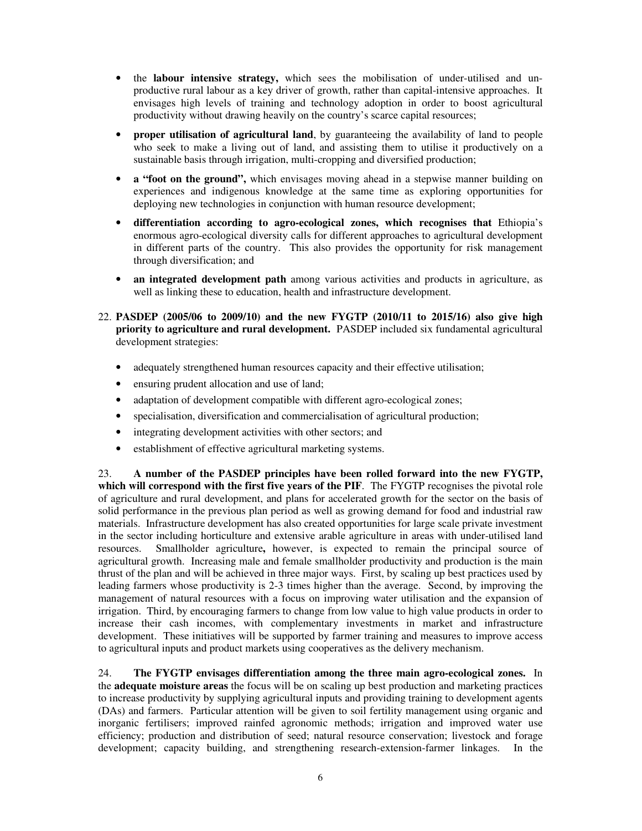- the **labour intensive strategy,** which sees the mobilisation of under-utilised and unproductive rural labour as a key driver of growth, rather than capital-intensive approaches. It envisages high levels of training and technology adoption in order to boost agricultural productivity without drawing heavily on the country's scarce capital resources;
- **proper utilisation of agricultural land**, by guaranteeing the availability of land to people who seek to make a living out of land, and assisting them to utilise it productively on a sustainable basis through irrigation, multi-cropping and diversified production;
- **a "foot on the ground",** which envisages moving ahead in a stepwise manner building on experiences and indigenous knowledge at the same time as exploring opportunities for deploying new technologies in conjunction with human resource development;
- **differentiation according to agro-ecological zones, which recognises that** Ethiopia's enormous agro-ecological diversity calls for different approaches to agricultural development in different parts of the country. This also provides the opportunity for risk management through diversification; and
- **an integrated development path** among various activities and products in agriculture, as well as linking these to education, health and infrastructure development.
- 22. **PASDEP (2005/06 to 2009/10) and the new FYGTP (2010/11 to 2015/16) also give high priority to agriculture and rural development.** PASDEP included six fundamental agricultural development strategies:
	- adequately strengthened human resources capacity and their effective utilisation;
	- ensuring prudent allocation and use of land;
	- adaptation of development compatible with different agro-ecological zones;
	- specialisation, diversification and commercialisation of agricultural production;
	- integrating development activities with other sectors; and
	- establishment of effective agricultural marketing systems.

23. **A number of the PASDEP principles have been rolled forward into the new FYGTP, which will correspond with the first five years of the PIF**. The FYGTP recognises the pivotal role of agriculture and rural development, and plans for accelerated growth for the sector on the basis of solid performance in the previous plan period as well as growing demand for food and industrial raw materials. Infrastructure development has also created opportunities for large scale private investment in the sector including horticulture and extensive arable agriculture in areas with under-utilised land resources. Smallholder agriculture**,** however, is expected to remain the principal source of agricultural growth. Increasing male and female smallholder productivity and production is the main thrust of the plan and will be achieved in three major ways. First, by scaling up best practices used by leading farmers whose productivity is 2-3 times higher than the average. Second, by improving the management of natural resources with a focus on improving water utilisation and the expansion of irrigation. Third, by encouraging farmers to change from low value to high value products in order to increase their cash incomes, with complementary investments in market and infrastructure development. These initiatives will be supported by farmer training and measures to improve access to agricultural inputs and product markets using cooperatives as the delivery mechanism.

24. **The FYGTP envisages differentiation among the three main agro-ecological zones.** In the **adequate moisture areas** the focus will be on scaling up best production and marketing practices to increase productivity by supplying agricultural inputs and providing training to development agents (DAs) and farmers. Particular attention will be given to soil fertility management using organic and inorganic fertilisers; improved rainfed agronomic methods; irrigation and improved water use efficiency; production and distribution of seed; natural resource conservation; livestock and forage development; capacity building, and strengthening research-extension-farmer linkages. In the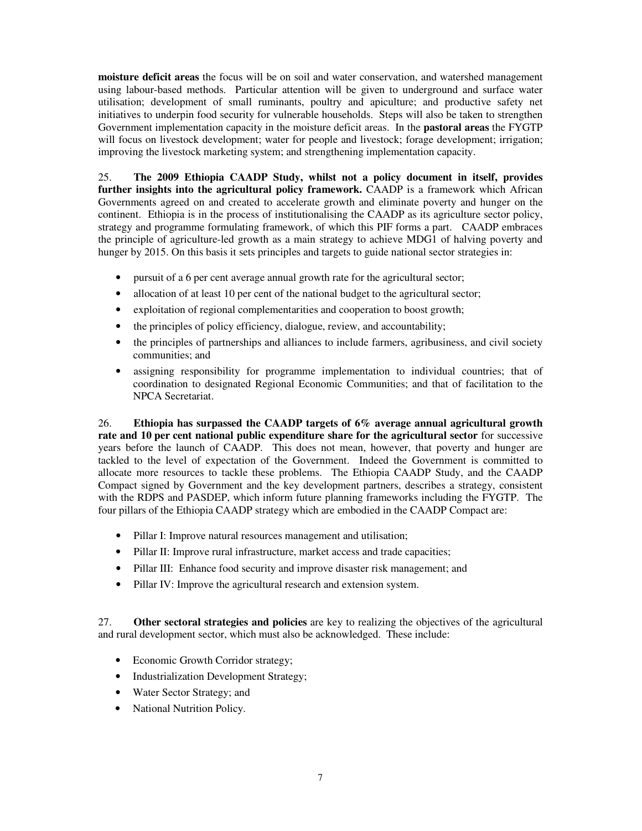**moisture deficit areas** the focus will be on soil and water conservation, and watershed management using labour-based methods. Particular attention will be given to underground and surface water utilisation; development of small ruminants, poultry and apiculture; and productive safety net initiatives to underpin food security for vulnerable households. Steps will also be taken to strengthen Government implementation capacity in the moisture deficit areas. In the **pastoral areas** the FYGTP will focus on livestock development; water for people and livestock; forage development; irrigation; improving the livestock marketing system; and strengthening implementation capacity.

25. **The 2009 Ethiopia CAADP Study, whilst not a policy document in itself, provides further insights into the agricultural policy framework.** CAADP is a framework which African Governments agreed on and created to accelerate growth and eliminate poverty and hunger on the continent. Ethiopia is in the process of institutionalising the CAADP as its agriculture sector policy, strategy and programme formulating framework, of which this PIF forms a part. CAADP embraces the principle of agriculture-led growth as a main strategy to achieve MDG1 of halving poverty and hunger by 2015. On this basis it sets principles and targets to guide national sector strategies in:

- pursuit of a 6 per cent average annual growth rate for the agricultural sector;
- allocation of at least 10 per cent of the national budget to the agricultural sector;
- exploitation of regional complementarities and cooperation to boost growth;
- the principles of policy efficiency, dialogue, review, and accountability;
- the principles of partnerships and alliances to include farmers, agribusiness, and civil society communities; and
- assigning responsibility for programme implementation to individual countries; that of coordination to designated Regional Economic Communities; and that of facilitation to the NPCA Secretariat.

26. **Ethiopia has surpassed the CAADP targets of 6% average annual agricultural growth rate and 10 per cent national public expenditure share for the agricultural sector** for successive years before the launch of CAADP. This does not mean, however, that poverty and hunger are tackled to the level of expectation of the Government. Indeed the Government is committed to allocate more resources to tackle these problems. The Ethiopia CAADP Study, and the CAADP Compact signed by Government and the key development partners, describes a strategy, consistent with the RDPS and PASDEP, which inform future planning frameworks including the FYGTP. The four pillars of the Ethiopia CAADP strategy which are embodied in the CAADP Compact are:

- Pillar I: Improve natural resources management and utilisation;
- Pillar II: Improve rural infrastructure, market access and trade capacities;
- Pillar III: Enhance food security and improve disaster risk management; and
- Pillar IV: Improve the agricultural research and extension system.

27. **Other sectoral strategies and policies** are key to realizing the objectives of the agricultural and rural development sector, which must also be acknowledged. These include:

- Economic Growth Corridor strategy;
- Industrialization Development Strategy;
- Water Sector Strategy; and
- National Nutrition Policy.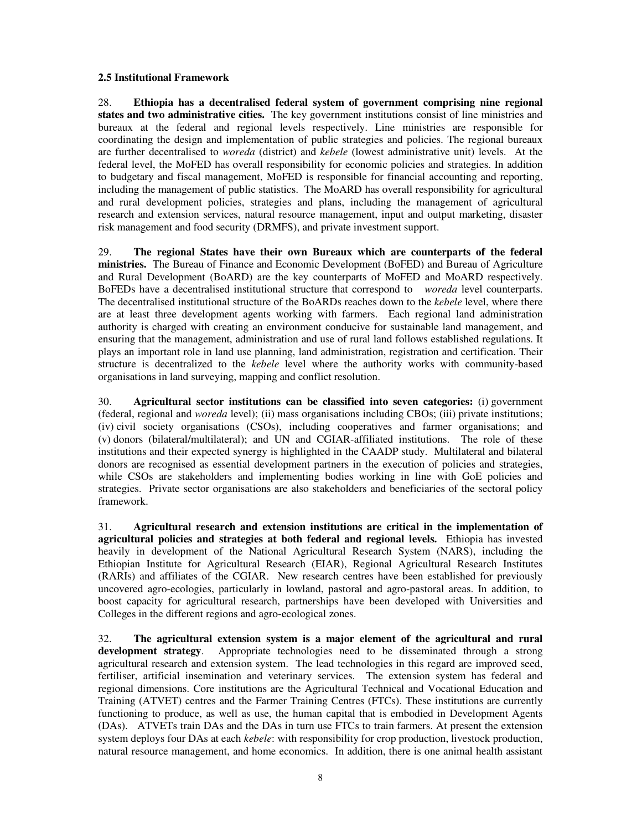### **2.5 Institutional Framework**

28. **Ethiopia has a decentralised federal system of government comprising nine regional states and two administrative cities.** The key government institutions consist of line ministries and bureaux at the federal and regional levels respectively. Line ministries are responsible for coordinating the design and implementation of public strategies and policies. The regional bureaux are further decentralised to *woreda* (district) and *kebele* (lowest administrative unit) levels. At the federal level, the MoFED has overall responsibility for economic policies and strategies. In addition to budgetary and fiscal management, MoFED is responsible for financial accounting and reporting, including the management of public statistics. The MoARD has overall responsibility for agricultural and rural development policies, strategies and plans, including the management of agricultural research and extension services, natural resource management, input and output marketing, disaster risk management and food security (DRMFS), and private investment support.

29. **The regional States have their own Bureaux which are counterparts of the federal ministries.** The Bureau of Finance and Economic Development (BoFED) and Bureau of Agriculture and Rural Development (BoARD) are the key counterparts of MoFED and MoARD respectively. BoFEDs have a decentralised institutional structure that correspond to *woreda* level counterparts. The decentralised institutional structure of the BoARDs reaches down to the *kebele* level, where there are at least three development agents working with farmers. Each regional land administration authority is charged with creating an environment conducive for sustainable land management, and ensuring that the management, administration and use of rural land follows established regulations. It plays an important role in land use planning, land administration, registration and certification. Their structure is decentralized to the *kebele* level where the authority works with community-based organisations in land surveying, mapping and conflict resolution.

30. **Agricultural sector institutions can be classified into seven categories:** (i) government (federal, regional and *woreda* level); (ii) mass organisations including CBOs; (iii) private institutions; (iv) civil society organisations (CSOs), including cooperatives and farmer organisations; and (v) donors (bilateral/multilateral); and UN and CGIAR-affiliated institutions. The role of these institutions and their expected synergy is highlighted in the CAADP study. Multilateral and bilateral donors are recognised as essential development partners in the execution of policies and strategies, while CSOs are stakeholders and implementing bodies working in line with GoE policies and strategies. Private sector organisations are also stakeholders and beneficiaries of the sectoral policy framework.

31. **Agricultural research and extension institutions are critical in the implementation of agricultural policies and strategies at both federal and regional levels.** Ethiopia has invested heavily in development of the National Agricultural Research System (NARS), including the Ethiopian Institute for Agricultural Research (EIAR), Regional Agricultural Research Institutes (RARIs) and affiliates of the CGIAR. New research centres have been established for previously uncovered agro-ecologies, particularly in lowland, pastoral and agro-pastoral areas. In addition, to boost capacity for agricultural research, partnerships have been developed with Universities and Colleges in the different regions and agro-ecological zones.

32. **The agricultural extension system is a major element of the agricultural and rural development strategy**. Appropriate technologies need to be disseminated through a strong agricultural research and extension system. The lead technologies in this regard are improved seed, fertiliser, artificial insemination and veterinary services. The extension system has federal and regional dimensions. Core institutions are the Agricultural Technical and Vocational Education and Training (ATVET) centres and the Farmer Training Centres (FTCs). These institutions are currently functioning to produce, as well as use, the human capital that is embodied in Development Agents (DAs). ATVETs train DAs and the DAs in turn use FTCs to train farmers. At present the extension system deploys four DAs at each *kebele*: with responsibility for crop production, livestock production, natural resource management, and home economics. In addition, there is one animal health assistant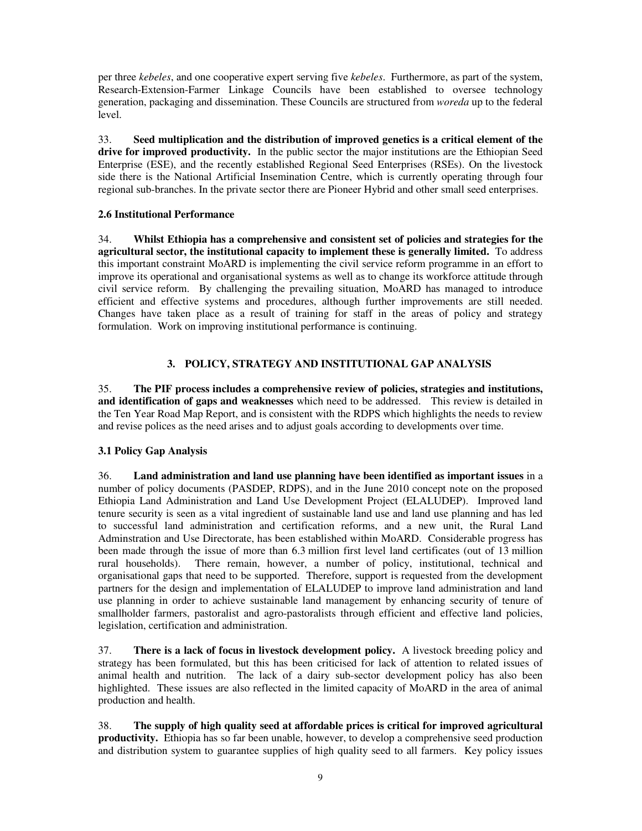per three *kebeles*, and one cooperative expert serving five *kebeles*. Furthermore, as part of the system, Research-Extension-Farmer Linkage Councils have been established to oversee technology generation, packaging and dissemination. These Councils are structured from *woreda* up to the federal level.

33. **Seed multiplication and the distribution of improved genetics is a critical element of the drive for improved productivity.** In the public sector the major institutions are the Ethiopian Seed Enterprise (ESE), and the recently established Regional Seed Enterprises (RSEs). On the livestock side there is the National Artificial Insemination Centre, which is currently operating through four regional sub-branches. In the private sector there are Pioneer Hybrid and other small seed enterprises.

## **2.6 Institutional Performance**

34. **Whilst Ethiopia has a comprehensive and consistent set of policies and strategies for the agricultural sector, the institutional capacity to implement these is generally limited.** To address this important constraint MoARD is implementing the civil service reform programme in an effort to improve its operational and organisational systems as well as to change its workforce attitude through civil service reform. By challenging the prevailing situation, MoARD has managed to introduce efficient and effective systems and procedures, although further improvements are still needed. Changes have taken place as a result of training for staff in the areas of policy and strategy formulation. Work on improving institutional performance is continuing.

# **3. POLICY, STRATEGY AND INSTITUTIONAL GAP ANALYSIS**

35. **The PIF process includes a comprehensive review of policies, strategies and institutions, and identification of gaps and weaknesses** which need to be addressed. This review is detailed in the Ten Year Road Map Report, and is consistent with the RDPS which highlights the needs to review and revise polices as the need arises and to adjust goals according to developments over time.

# **3.1 Policy Gap Analysis**

36. **Land administration and land use planning have been identified as important issues** in a number of policy documents (PASDEP, RDPS), and in the June 2010 concept note on the proposed Ethiopia Land Administration and Land Use Development Project (ELALUDEP). Improved land tenure security is seen as a vital ingredient of sustainable land use and land use planning and has led to successful land administration and certification reforms, and a new unit, the Rural Land Adminstration and Use Directorate, has been established within MoARD. Considerable progress has been made through the issue of more than 6.3 million first level land certificates (out of 13 million rural households). There remain, however, a number of policy, institutional, technical and organisational gaps that need to be supported. Therefore, support is requested from the development partners for the design and implementation of ELALUDEP to improve land administration and land use planning in order to achieve sustainable land management by enhancing security of tenure of smallholder farmers, pastoralist and agro-pastoralists through efficient and effective land policies, legislation, certification and administration.

37. **There is a lack of focus in livestock development policy.** A livestock breeding policy and strategy has been formulated, but this has been criticised for lack of attention to related issues of animal health and nutrition. The lack of a dairy sub-sector development policy has also been highlighted. These issues are also reflected in the limited capacity of MoARD in the area of animal production and health.

38. **The supply of high quality seed at affordable prices is critical for improved agricultural productivity.** Ethiopia has so far been unable, however, to develop a comprehensive seed production and distribution system to guarantee supplies of high quality seed to all farmers. Key policy issues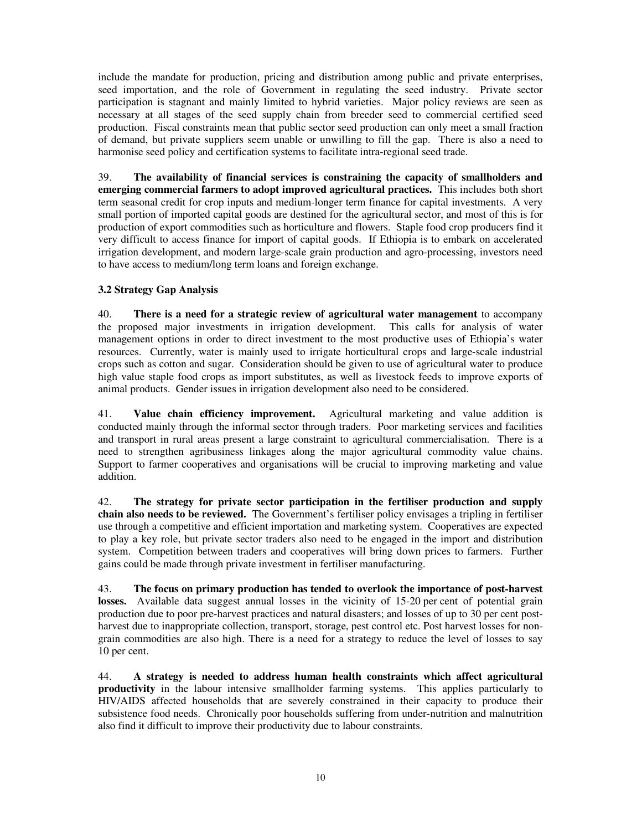include the mandate for production, pricing and distribution among public and private enterprises, seed importation, and the role of Government in regulating the seed industry. Private sector participation is stagnant and mainly limited to hybrid varieties. Major policy reviews are seen as necessary at all stages of the seed supply chain from breeder seed to commercial certified seed production. Fiscal constraints mean that public sector seed production can only meet a small fraction of demand, but private suppliers seem unable or unwilling to fill the gap. There is also a need to harmonise seed policy and certification systems to facilitate intra-regional seed trade.

39. **The availability of financial services is constraining the capacity of smallholders and emerging commercial farmers to adopt improved agricultural practices.** This includes both short term seasonal credit for crop inputs and medium-longer term finance for capital investments. A very small portion of imported capital goods are destined for the agricultural sector, and most of this is for production of export commodities such as horticulture and flowers. Staple food crop producers find it very difficult to access finance for import of capital goods. If Ethiopia is to embark on accelerated irrigation development, and modern large-scale grain production and agro-processing, investors need to have access to medium/long term loans and foreign exchange.

# **3.2 Strategy Gap Analysis**

40. **There is a need for a strategic review of agricultural water management** to accompany the proposed major investments in irrigation development. This calls for analysis of water management options in order to direct investment to the most productive uses of Ethiopia's water resources. Currently, water is mainly used to irrigate horticultural crops and large-scale industrial crops such as cotton and sugar. Consideration should be given to use of agricultural water to produce high value staple food crops as import substitutes, as well as livestock feeds to improve exports of animal products. Gender issues in irrigation development also need to be considered.

41. **Value chain efficiency improvement.** Agricultural marketing and value addition is conducted mainly through the informal sector through traders. Poor marketing services and facilities and transport in rural areas present a large constraint to agricultural commercialisation. There is a need to strengthen agribusiness linkages along the major agricultural commodity value chains. Support to farmer cooperatives and organisations will be crucial to improving marketing and value addition.

42. **The strategy for private sector participation in the fertiliser production and supply chain also needs to be reviewed.** The Government's fertiliser policy envisages a tripling in fertiliser use through a competitive and efficient importation and marketing system. Cooperatives are expected to play a key role, but private sector traders also need to be engaged in the import and distribution system. Competition between traders and cooperatives will bring down prices to farmers. Further gains could be made through private investment in fertiliser manufacturing.

43. **The focus on primary production has tended to overlook the importance of post-harvest**  losses. Available data suggest annual losses in the vicinity of 15-20 per cent of potential grain production due to poor pre-harvest practices and natural disasters; and losses of up to 30 per cent postharvest due to inappropriate collection, transport, storage, pest control etc. Post harvest losses for nongrain commodities are also high. There is a need for a strategy to reduce the level of losses to say 10 per cent.

44. **A strategy is needed to address human health constraints which affect agricultural productivity** in the labour intensive smallholder farming systems. This applies particularly to HIV/AIDS affected households that are severely constrained in their capacity to produce their subsistence food needs. Chronically poor households suffering from under-nutrition and malnutrition also find it difficult to improve their productivity due to labour constraints.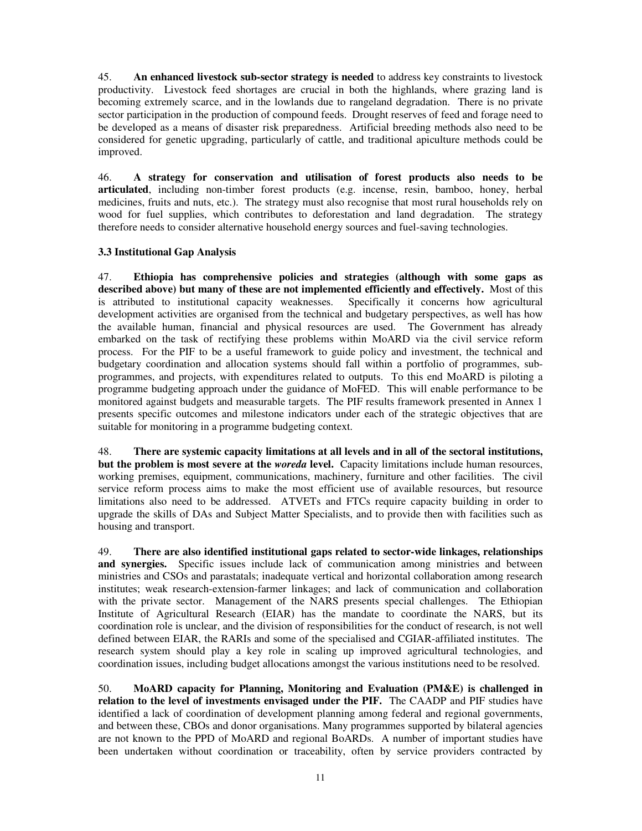45. **An enhanced livestock sub-sector strategy is needed** to address key constraints to livestock productivity. Livestock feed shortages are crucial in both the highlands, where grazing land is becoming extremely scarce, and in the lowlands due to rangeland degradation. There is no private sector participation in the production of compound feeds. Drought reserves of feed and forage need to be developed as a means of disaster risk preparedness. Artificial breeding methods also need to be considered for genetic upgrading, particularly of cattle, and traditional apiculture methods could be improved.

46. **A strategy for conservation and utilisation of forest products also needs to be articulated**, including non-timber forest products (e.g. incense, resin, bamboo, honey, herbal medicines, fruits and nuts, etc.). The strategy must also recognise that most rural households rely on wood for fuel supplies, which contributes to deforestation and land degradation. The strategy therefore needs to consider alternative household energy sources and fuel-saving technologies.

## **3.3 Institutional Gap Analysis**

47. **Ethiopia has comprehensive policies and strategies (although with some gaps as described above) but many of these are not implemented efficiently and effectively.** Most of this is attributed to institutional capacity weaknesses. Specifically it concerns how agricultural development activities are organised from the technical and budgetary perspectives, as well has how the available human, financial and physical resources are used. The Government has already embarked on the task of rectifying these problems within MoARD via the civil service reform process. For the PIF to be a useful framework to guide policy and investment, the technical and budgetary coordination and allocation systems should fall within a portfolio of programmes, subprogrammes, and projects, with expenditures related to outputs. To this end MoARD is piloting a programme budgeting approach under the guidance of MoFED. This will enable performance to be monitored against budgets and measurable targets. The PIF results framework presented in Annex 1 presents specific outcomes and milestone indicators under each of the strategic objectives that are suitable for monitoring in a programme budgeting context.

48. **There are systemic capacity limitations at all levels and in all of the sectoral institutions, but the problem is most severe at the** *woreda* **level.** Capacity limitations include human resources, working premises, equipment, communications, machinery, furniture and other facilities. The civil service reform process aims to make the most efficient use of available resources, but resource limitations also need to be addressed. ATVETs and FTCs require capacity building in order to upgrade the skills of DAs and Subject Matter Specialists, and to provide then with facilities such as housing and transport.

49. **There are also identified institutional gaps related to sector-wide linkages, relationships and synergies.** Specific issues include lack of communication among ministries and between ministries and CSOs and parastatals; inadequate vertical and horizontal collaboration among research institutes; weak research-extension-farmer linkages; and lack of communication and collaboration with the private sector. Management of the NARS presents special challenges. The Ethiopian Institute of Agricultural Research (EIAR) has the mandate to coordinate the NARS, but its coordination role is unclear, and the division of responsibilities for the conduct of research, is not well defined between EIAR, the RARIs and some of the specialised and CGIAR-affiliated institutes. The research system should play a key role in scaling up improved agricultural technologies, and coordination issues, including budget allocations amongst the various institutions need to be resolved.

50. **MoARD capacity for Planning, Monitoring and Evaluation (PM&E) is challenged in relation to the level of investments envisaged under the PIF.** The CAADP and PIF studies have identified a lack of coordination of development planning among federal and regional governments, and between these, CBOs and donor organisations. Many programmes supported by bilateral agencies are not known to the PPD of MoARD and regional BoARDs. A number of important studies have been undertaken without coordination or traceability, often by service providers contracted by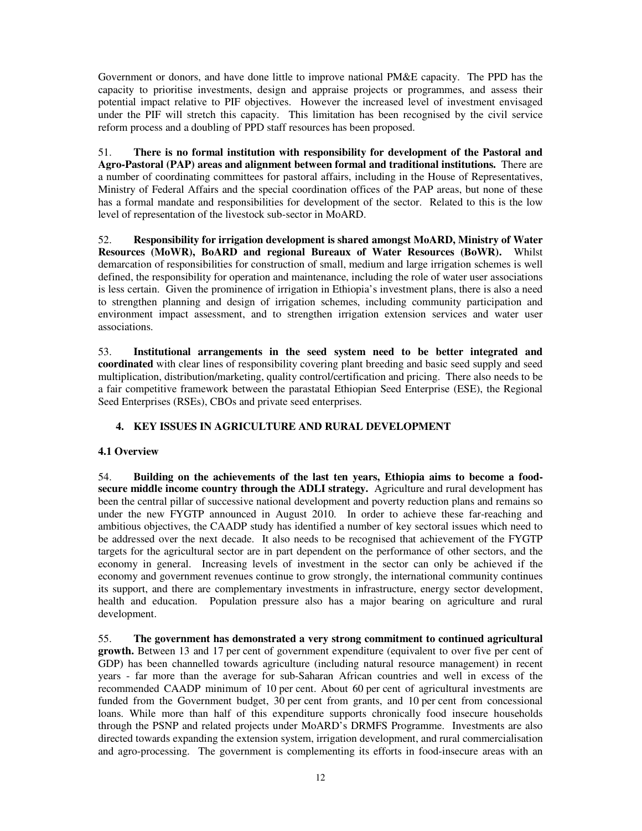Government or donors, and have done little to improve national PM&E capacity. The PPD has the capacity to prioritise investments, design and appraise projects or programmes, and assess their potential impact relative to PIF objectives. However the increased level of investment envisaged under the PIF will stretch this capacity. This limitation has been recognised by the civil service reform process and a doubling of PPD staff resources has been proposed.

51. **There is no formal institution with responsibility for development of the Pastoral and Agro-Pastoral (PAP) areas and alignment between formal and traditional institutions.** There are a number of coordinating committees for pastoral affairs, including in the House of Representatives, Ministry of Federal Affairs and the special coordination offices of the PAP areas, but none of these has a formal mandate and responsibilities for development of the sector. Related to this is the low level of representation of the livestock sub-sector in MoARD.

52. **Responsibility for irrigation development is shared amongst MoARD, Ministry of Water Resources (MoWR), BoARD and regional Bureaux of Water Resources (BoWR).** Whilst demarcation of responsibilities for construction of small, medium and large irrigation schemes is well defined, the responsibility for operation and maintenance, including the role of water user associations is less certain. Given the prominence of irrigation in Ethiopia's investment plans, there is also a need to strengthen planning and design of irrigation schemes, including community participation and environment impact assessment, and to strengthen irrigation extension services and water user associations.

53. **Institutional arrangements in the seed system need to be better integrated and coordinated** with clear lines of responsibility covering plant breeding and basic seed supply and seed multiplication, distribution/marketing, quality control/certification and pricing. There also needs to be a fair competitive framework between the parastatal Ethiopian Seed Enterprise (ESE), the Regional Seed Enterprises (RSEs), CBOs and private seed enterprises.

# **4. KEY ISSUES IN AGRICULTURE AND RURAL DEVELOPMENT**

# **4.1 Overview**

54. **Building on the achievements of the last ten years, Ethiopia aims to become a foodsecure middle income country through the ADLI strategy.** Agriculture and rural development has been the central pillar of successive national development and poverty reduction plans and remains so under the new FYGTP announced in August 2010. In order to achieve these far-reaching and ambitious objectives, the CAADP study has identified a number of key sectoral issues which need to be addressed over the next decade. It also needs to be recognised that achievement of the FYGTP targets for the agricultural sector are in part dependent on the performance of other sectors, and the economy in general. Increasing levels of investment in the sector can only be achieved if the economy and government revenues continue to grow strongly, the international community continues its support, and there are complementary investments in infrastructure, energy sector development, health and education. Population pressure also has a major bearing on agriculture and rural development.

55. **The government has demonstrated a very strong commitment to continued agricultural growth.** Between 13 and 17 per cent of government expenditure (equivalent to over five per cent of GDP) has been channelled towards agriculture (including natural resource management) in recent years - far more than the average for sub-Saharan African countries and well in excess of the recommended CAADP minimum of 10 per cent. About 60 per cent of agricultural investments are funded from the Government budget, 30 per cent from grants, and 10 per cent from concessional loans. While more than half of this expenditure supports chronically food insecure households through the PSNP and related projects under MoARD's DRMFS Programme. Investments are also directed towards expanding the extension system, irrigation development, and rural commercialisation and agro-processing. The government is complementing its efforts in food-insecure areas with an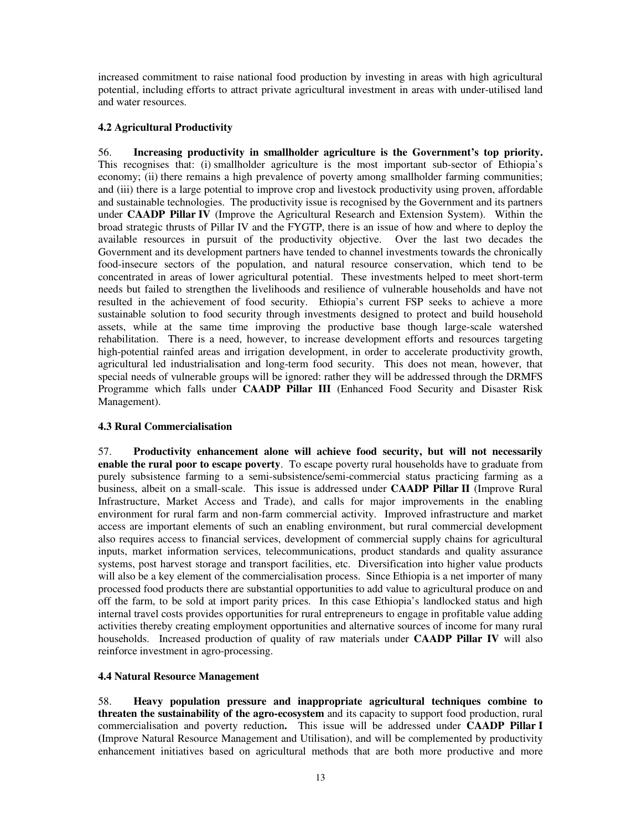increased commitment to raise national food production by investing in areas with high agricultural potential, including efforts to attract private agricultural investment in areas with under-utilised land and water resources.

## **4.2 Agricultural Productivity**

56. **Increasing productivity in smallholder agriculture is the Government's top priority.** This recognises that: (i) smallholder agriculture is the most important sub-sector of Ethiopia's economy; (ii) there remains a high prevalence of poverty among smallholder farming communities; and (iii) there is a large potential to improve crop and livestock productivity using proven, affordable and sustainable technologies. The productivity issue is recognised by the Government and its partners under **CAADP Pillar IV** (Improve the Agricultural Research and Extension System). Within the broad strategic thrusts of Pillar IV and the FYGTP, there is an issue of how and where to deploy the available resources in pursuit of the productivity objective. Over the last two decades the Government and its development partners have tended to channel investments towards the chronically food-insecure sectors of the population, and natural resource conservation, which tend to be concentrated in areas of lower agricultural potential. These investments helped to meet short-term needs but failed to strengthen the livelihoods and resilience of vulnerable households and have not resulted in the achievement of food security. Ethiopia's current FSP seeks to achieve a more sustainable solution to food security through investments designed to protect and build household assets, while at the same time improving the productive base though large-scale watershed rehabilitation. There is a need, however, to increase development efforts and resources targeting high-potential rainfed areas and irrigation development, in order to accelerate productivity growth, agricultural led industrialisation and long-term food security. This does not mean, however, that special needs of vulnerable groups will be ignored: rather they will be addressed through the DRMFS Programme which falls under **CAADP Pillar III** (Enhanced Food Security and Disaster Risk Management).

### **4.3 Rural Commercialisation**

57. **Productivity enhancement alone will achieve food security, but will not necessarily enable the rural poor to escape poverty**. To escape poverty rural households have to graduate from purely subsistence farming to a semi-subsistence/semi-commercial status practicing farming as a business, albeit on a small-scale. This issue is addressed under **CAADP Pillar II** (Improve Rural Infrastructure, Market Access and Trade), and calls for major improvements in the enabling environment for rural farm and non-farm commercial activity. Improved infrastructure and market access are important elements of such an enabling environment, but rural commercial development also requires access to financial services, development of commercial supply chains for agricultural inputs, market information services, telecommunications, product standards and quality assurance systems, post harvest storage and transport facilities, etc. Diversification into higher value products will also be a key element of the commercialisation process. Since Ethiopia is a net importer of many processed food products there are substantial opportunities to add value to agricultural produce on and off the farm, to be sold at import parity prices. In this case Ethiopia's landlocked status and high internal travel costs provides opportunities for rural entrepreneurs to engage in profitable value adding activities thereby creating employment opportunities and alternative sources of income for many rural households. Increased production of quality of raw materials under **CAADP Pillar IV** will also reinforce investment in agro-processing.

### **4.4 Natural Resource Management**

58. **Heavy population pressure and inappropriate agricultural techniques combine to threaten the sustainability of the agro-ecosystem** and its capacity to support food production, rural commercialisation and poverty reduction**.** This issue will be addressed under **CAADP Pillar I (**Improve Natural Resource Management and Utilisation), and will be complemented by productivity enhancement initiatives based on agricultural methods that are both more productive and more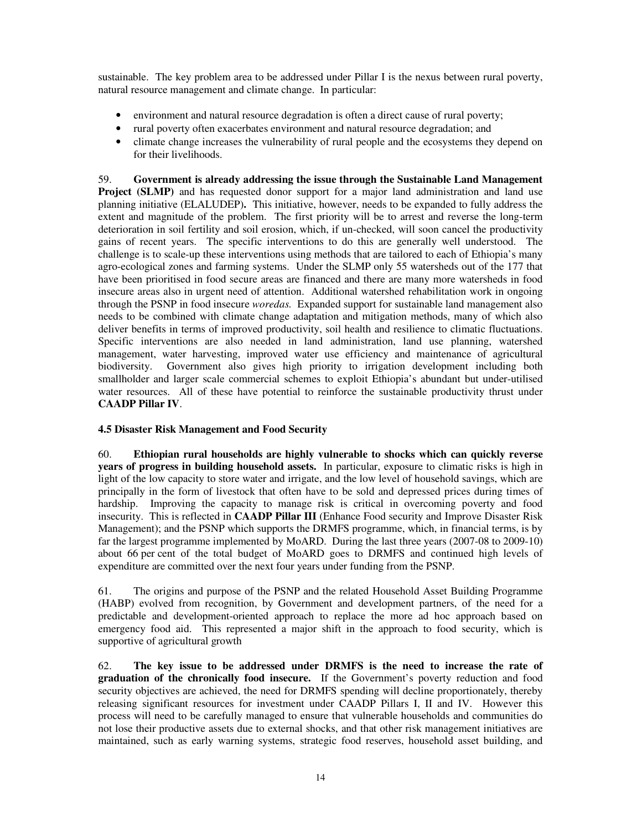sustainable. The key problem area to be addressed under Pillar I is the nexus between rural poverty, natural resource management and climate change. In particular:

- environment and natural resource degradation is often a direct cause of rural poverty;
- rural poverty often exacerbates environment and natural resource degradation; and
- climate change increases the vulnerability of rural people and the ecosystems they depend on for their livelihoods.

59. **Government is already addressing the issue through the Sustainable Land Management Project (SLMP)** and has requested donor support for a major land administration and land use planning initiative (ELALUDEP)**.** This initiative, however, needs to be expanded to fully address the extent and magnitude of the problem. The first priority will be to arrest and reverse the long-term deterioration in soil fertility and soil erosion, which, if un-checked, will soon cancel the productivity gains of recent years. The specific interventions to do this are generally well understood. The challenge is to scale-up these interventions using methods that are tailored to each of Ethiopia's many agro-ecological zones and farming systems. Under the SLMP only 55 watersheds out of the 177 that have been prioritised in food secure areas are financed and there are many more watersheds in food insecure areas also in urgent need of attention. Additional watershed rehabilitation work in ongoing through the PSNP in food insecure *woredas.* Expanded support for sustainable land management also needs to be combined with climate change adaptation and mitigation methods, many of which also deliver benefits in terms of improved productivity, soil health and resilience to climatic fluctuations. Specific interventions are also needed in land administration, land use planning, watershed management, water harvesting, improved water use efficiency and maintenance of agricultural biodiversity. Government also gives high priority to irrigation development including both smallholder and larger scale commercial schemes to exploit Ethiopia's abundant but under-utilised water resources. All of these have potential to reinforce the sustainable productivity thrust under **CAADP Pillar IV**.

# **4.5 Disaster Risk Management and Food Security**

60. **Ethiopian rural households are highly vulnerable to shocks which can quickly reverse years of progress in building household assets.** In particular, exposure to climatic risks is high in light of the low capacity to store water and irrigate, and the low level of household savings, which are principally in the form of livestock that often have to be sold and depressed prices during times of hardship. Improving the capacity to manage risk is critical in overcoming poverty and food insecurity. This is reflected in **CAADP Pillar III** (Enhance Food security and Improve Disaster Risk Management); and the PSNP which supports the DRMFS programme, which, in financial terms, is by far the largest programme implemented by MoARD. During the last three years (2007-08 to 2009-10) about 66 per cent of the total budget of MoARD goes to DRMFS and continued high levels of expenditure are committed over the next four years under funding from the PSNP.

61. The origins and purpose of the PSNP and the related Household Asset Building Programme (HABP) evolved from recognition, by Government and development partners, of the need for a predictable and development-oriented approach to replace the more ad hoc approach based on emergency food aid. This represented a major shift in the approach to food security, which is supportive of agricultural growth

62. **The key issue to be addressed under DRMFS is the need to increase the rate of graduation of the chronically food insecure.** If the Government's poverty reduction and food security objectives are achieved, the need for DRMFS spending will decline proportionately, thereby releasing significant resources for investment under CAADP Pillars I, II and IV. However this process will need to be carefully managed to ensure that vulnerable households and communities do not lose their productive assets due to external shocks, and that other risk management initiatives are maintained, such as early warning systems, strategic food reserves, household asset building, and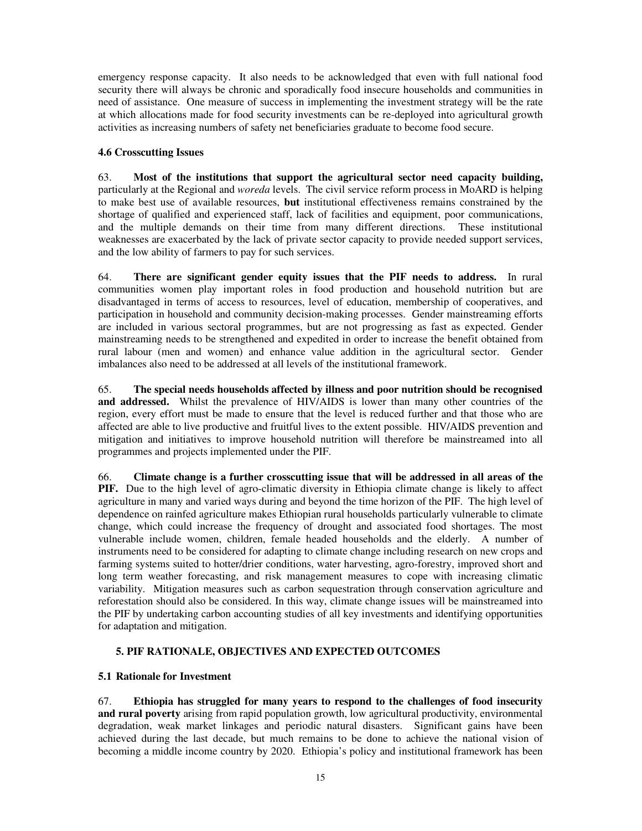emergency response capacity. It also needs to be acknowledged that even with full national food security there will always be chronic and sporadically food insecure households and communities in need of assistance. One measure of success in implementing the investment strategy will be the rate at which allocations made for food security investments can be re-deployed into agricultural growth activities as increasing numbers of safety net beneficiaries graduate to become food secure.

## **4.6 Crosscutting Issues**

63. **Most of the institutions that support the agricultural sector need capacity building,**  particularly at the Regional and *woreda* levels. The civil service reform process in MoARD is helping to make best use of available resources, **but** institutional effectiveness remains constrained by the shortage of qualified and experienced staff, lack of facilities and equipment, poor communications, and the multiple demands on their time from many different directions. These institutional weaknesses are exacerbated by the lack of private sector capacity to provide needed support services, and the low ability of farmers to pay for such services.

64. **There are significant gender equity issues that the PIF needs to address.** In rural communities women play important roles in food production and household nutrition but are disadvantaged in terms of access to resources, level of education, membership of cooperatives, and participation in household and community decision-making processes. Gender mainstreaming efforts are included in various sectoral programmes, but are not progressing as fast as expected. Gender mainstreaming needs to be strengthened and expedited in order to increase the benefit obtained from rural labour (men and women) and enhance value addition in the agricultural sector. Gender imbalances also need to be addressed at all levels of the institutional framework.

65. **The special needs households affected by illness and poor nutrition should be recognised and addressed.** Whilst the prevalence of HIV/AIDS is lower than many other countries of the region, every effort must be made to ensure that the level is reduced further and that those who are affected are able to live productive and fruitful lives to the extent possible. HIV/AIDS prevention and mitigation and initiatives to improve household nutrition will therefore be mainstreamed into all programmes and projects implemented under the PIF.

66. **Climate change is a further crosscutting issue that will be addressed in all areas of the PIF.** Due to the high level of agro-climatic diversity in Ethiopia climate change is likely to affect agriculture in many and varied ways during and beyond the time horizon of the PIF. The high level of dependence on rainfed agriculture makes Ethiopian rural households particularly vulnerable to climate change, which could increase the frequency of drought and associated food shortages. The most vulnerable include women, children, female headed households and the elderly. A number of instruments need to be considered for adapting to climate change including research on new crops and farming systems suited to hotter/drier conditions, water harvesting, agro-forestry, improved short and long term weather forecasting, and risk management measures to cope with increasing climatic variability. Mitigation measures such as carbon sequestration through conservation agriculture and reforestation should also be considered. In this way, climate change issues will be mainstreamed into the PIF by undertaking carbon accounting studies of all key investments and identifying opportunities for adaptation and mitigation.

# **5. PIF RATIONALE, OBJECTIVES AND EXPECTED OUTCOMES**

### **5.1 Rationale for Investment**

67. **Ethiopia has struggled for many years to respond to the challenges of food insecurity and rural poverty** arising from rapid population growth, low agricultural productivity, environmental degradation, weak market linkages and periodic natural disasters. Significant gains have been achieved during the last decade, but much remains to be done to achieve the national vision of becoming a middle income country by 2020. Ethiopia's policy and institutional framework has been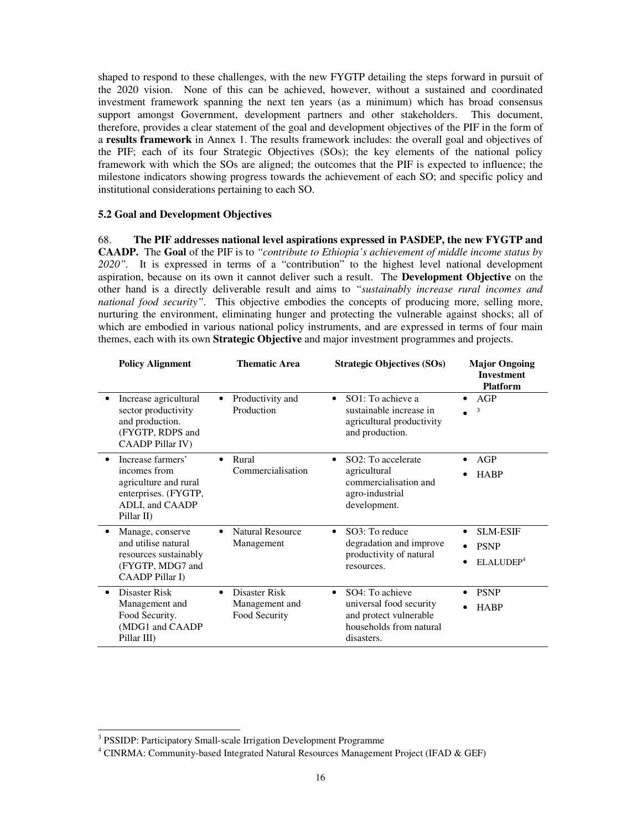shaped to respond to these challenges, with the new FYGTP detailing the steps forward in pursuit of the 2020 vision. None of this can be achieved, however, without a sustained and coordinated investment framework spanning the next ten years (as a minimum) which has broad consensus support amongst Government, development partners and other stakeholders. This document, therefore, provides a clear statement of the goal and development objectives of the PIF in the form of a **results framework** in Annex 1. The results framework includes: the overall goal and objectives of the PIF; each of its four Strategic Objectives (SOs); the key elements of the national policy framework with which the SOs are aligned; the outcomes that the PIF is expected to influence; the milestone indicators showing progress towards the achievement of each SO; and specific policy and institutional considerations pertaining to each SO.

#### **5.2 Goal and Development Objectives**

68. **The PIF addresses national level aspirations expressed in PASDEP, the new FYGTP and CAADP.** The **Goal** of the PIF is to *"contribute to Ethiopia's achievement of middle income status by 2020".* It is expressed in terms of a "contribution" to the highest level national development aspiration, because on its own it cannot deliver such a result. The **Development Objective** on the other hand is a directly deliverable result and aims to *"sustainably increase rural incomes and national food security"*. This objective embodies the concepts of producing more, selling more, nurturing the environment, eliminating hunger and protecting the vulnerable against shocks; all of which are embodied in various national policy instruments, and are expressed in terms of four main themes, each with its own **Strategic Objective** and major investment programmes and projects.

|           | <b>Policy Alignment</b>                                                                                             | <b>Thematic Area</b>                                          | <b>Strategic Objectives (SOs)</b>                                                                                          | <b>Major Ongoing</b><br><b>Investment</b><br><b>Platform</b>         |  |  |  |
|-----------|---------------------------------------------------------------------------------------------------------------------|---------------------------------------------------------------|----------------------------------------------------------------------------------------------------------------------------|----------------------------------------------------------------------|--|--|--|
| ٠         | Increase agricultural<br>sector productivity<br>and production.<br>(FYGTP, RDPS and<br><b>CAADP Pillar IV)</b>      | Productivity and<br>$\bullet$<br>Production                   | SO1: To achieve a<br>$\bullet$<br>sustainable increase in<br>agricultural productivity<br>and production.                  | AGP<br>$\bullet$<br>3                                                |  |  |  |
| $\bullet$ | Increase farmers'<br>incomes from<br>agriculture and rural<br>enterprises. (FYGTP,<br>ADLI, and CAADP<br>Pillar II) | Rural<br>$\bullet$<br>Commercialisation                       | SO <sub>2</sub> : To accelerate<br>$\bullet$<br>agricultural<br>commercialisation and<br>agro-industrial<br>development.   | AGP<br>$\bullet$<br><b>HABP</b>                                      |  |  |  |
|           | Manage, conserve<br>and utilise natural<br>resources sustainably<br>(FYGTP, MDG7 and<br><b>CAADP</b> Pillar I)      | <b>Natural Resource</b><br>$\bullet$<br>Management            | SO3: To reduce<br>degradation and improve<br>productivity of natural<br>resources.                                         | <b>SLM-ESIF</b><br>$\bullet$<br><b>PSNP</b><br>ELALUDEP <sup>4</sup> |  |  |  |
| $\bullet$ | Disaster Risk<br>Management and<br>Food Security.<br>(MDG1 and CAADP<br>Pillar III)                                 | Disaster Risk<br>$\bullet$<br>Management and<br>Food Security | SO4: To achieve<br>$\bullet$<br>universal food security<br>and protect vulnerable<br>households from natural<br>disasters. | <b>PSNP</b><br>$\bullet$<br><b>HABP</b><br>$\bullet$                 |  |  |  |

 $\overline{a}$ 

<sup>&</sup>lt;sup>3</sup> PSSIDP: Participatory Small-scale Irrigation Development Programme

<sup>&</sup>lt;sup>4</sup> CINRMA: Community-based Integrated Natural Resources Management Project (IFAD & GEF)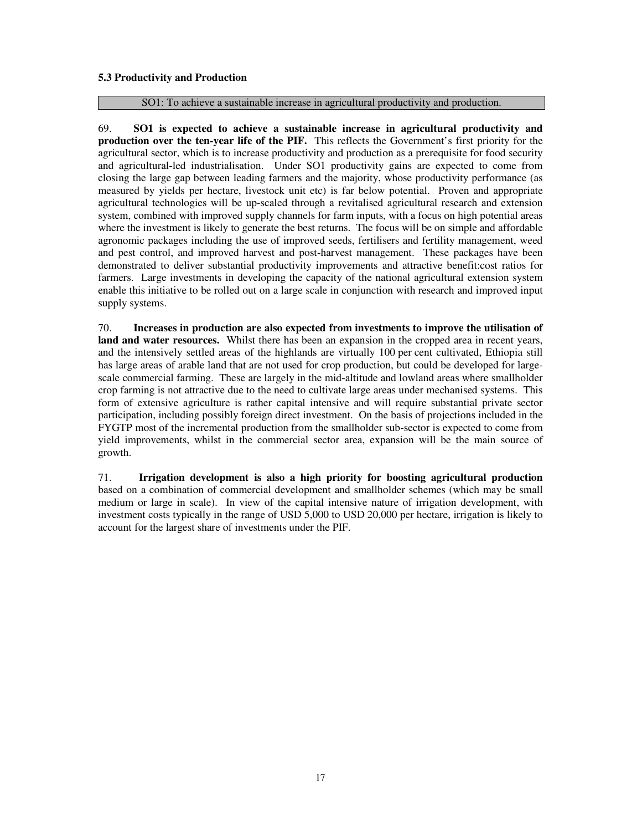### **5.3 Productivity and Production**

#### SO1: To achieve a sustainable increase in agricultural productivity and production.

69. **SO1 is expected to achieve a sustainable increase in agricultural productivity and production over the ten-year life of the PIF.** This reflects the Government's first priority for the agricultural sector, which is to increase productivity and production as a prerequisite for food security and agricultural-led industrialisation. Under SO1 productivity gains are expected to come from closing the large gap between leading farmers and the majority, whose productivity performance (as measured by yields per hectare, livestock unit etc) is far below potential. Proven and appropriate agricultural technologies will be up-scaled through a revitalised agricultural research and extension system, combined with improved supply channels for farm inputs, with a focus on high potential areas where the investment is likely to generate the best returns. The focus will be on simple and affordable agronomic packages including the use of improved seeds, fertilisers and fertility management, weed and pest control, and improved harvest and post-harvest management. These packages have been demonstrated to deliver substantial productivity improvements and attractive benefit:cost ratios for farmers. Large investments in developing the capacity of the national agricultural extension system enable this initiative to be rolled out on a large scale in conjunction with research and improved input supply systems.

70. **Increases in production are also expected from investments to improve the utilisation of land and water resources.** Whilst there has been an expansion in the cropped area in recent years, and the intensively settled areas of the highlands are virtually 100 per cent cultivated, Ethiopia still has large areas of arable land that are not used for crop production, but could be developed for largescale commercial farming. These are largely in the mid-altitude and lowland areas where smallholder crop farming is not attractive due to the need to cultivate large areas under mechanised systems. This form of extensive agriculture is rather capital intensive and will require substantial private sector participation, including possibly foreign direct investment. On the basis of projections included in the FYGTP most of the incremental production from the smallholder sub-sector is expected to come from yield improvements, whilst in the commercial sector area, expansion will be the main source of growth.

71. **Irrigation development is also a high priority for boosting agricultural production** based on a combination of commercial development and smallholder schemes (which may be small medium or large in scale). In view of the capital intensive nature of irrigation development, with investment costs typically in the range of USD 5,000 to USD 20,000 per hectare, irrigation is likely to account for the largest share of investments under the PIF.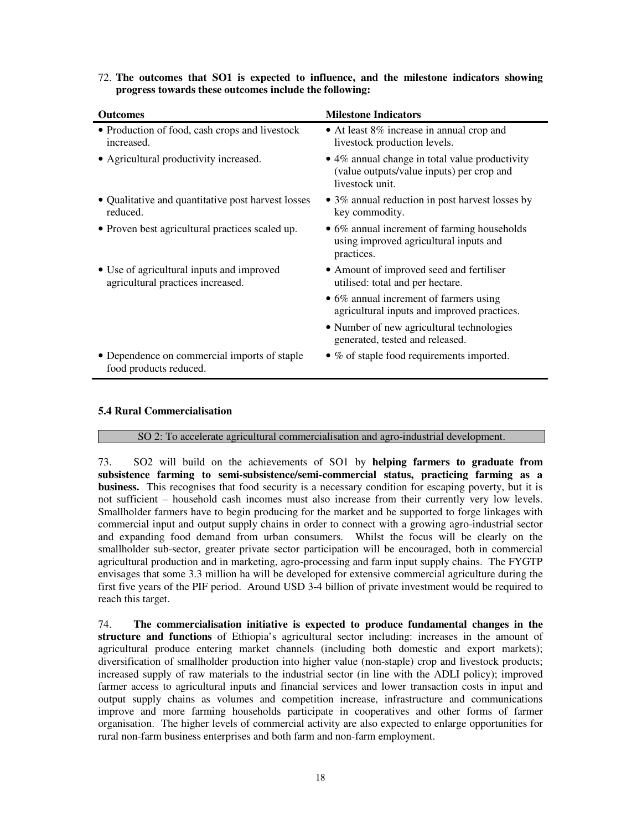| <b>Outcomes</b>                                                                | <b>Milestone Indicators</b>                                                                                            |
|--------------------------------------------------------------------------------|------------------------------------------------------------------------------------------------------------------------|
| • Production of food, cash crops and livestock<br>increased.                   | • At least 8% increase in annual crop and<br>livestock production levels.                                              |
| • Agricultural productivity increased.                                         | $\bullet$ 4% annual change in total value productivity<br>(value outputs/value inputs) per crop and<br>livestock unit. |
| • Qualitative and quantitative post harvest losses<br>reduced.                 | • 3% annual reduction in post harvest losses by<br>key commodity.                                                      |
| • Proven best agricultural practices scaled up.                                | • 6% annual increment of farming households<br>using improved agricultural inputs and<br>practices.                    |
| • Use of agricultural inputs and improved<br>agricultural practices increased. | • Amount of improved seed and fertiliser<br>utilised: total and per hectare.                                           |
|                                                                                | • 6% annual increment of farmers using<br>agricultural inputs and improved practices.                                  |
|                                                                                | • Number of new agricultural technologies<br>generated, tested and released.                                           |
| • Dependence on commercial imports of staple<br>food products reduced.         | $\bullet$ % of staple food requirements imported.                                                                      |

72. **The outcomes that SO1 is expected to influence, and the milestone indicators showing progress towards these outcomes include the following:** 

#### **5.4 Rural Commercialisation**

#### SO 2: To accelerate agricultural commercialisation and agro-industrial development.

73. SO2 will build on the achievements of SO1 by **helping farmers to graduate from subsistence farming to semi-subsistence/semi-commercial status, practicing farming as a business.** This recognises that food security is a necessary condition for escaping poverty, but it is not sufficient – household cash incomes must also increase from their currently very low levels. Smallholder farmers have to begin producing for the market and be supported to forge linkages with commercial input and output supply chains in order to connect with a growing agro-industrial sector and expanding food demand from urban consumers. Whilst the focus will be clearly on the smallholder sub-sector, greater private sector participation will be encouraged, both in commercial agricultural production and in marketing, agro-processing and farm input supply chains. The FYGTP envisages that some 3.3 million ha will be developed for extensive commercial agriculture during the first five years of the PIF period. Around USD 3-4 billion of private investment would be required to reach this target.

74. **The commercialisation initiative is expected to produce fundamental changes in the structure and functions** of Ethiopia's agricultural sector including: increases in the amount of agricultural produce entering market channels (including both domestic and export markets); diversification of smallholder production into higher value (non-staple) crop and livestock products; increased supply of raw materials to the industrial sector (in line with the ADLI policy); improved farmer access to agricultural inputs and financial services and lower transaction costs in input and output supply chains as volumes and competition increase, infrastructure and communications improve and more farming households participate in cooperatives and other forms of farmer organisation. The higher levels of commercial activity are also expected to enlarge opportunities for rural non-farm business enterprises and both farm and non-farm employment.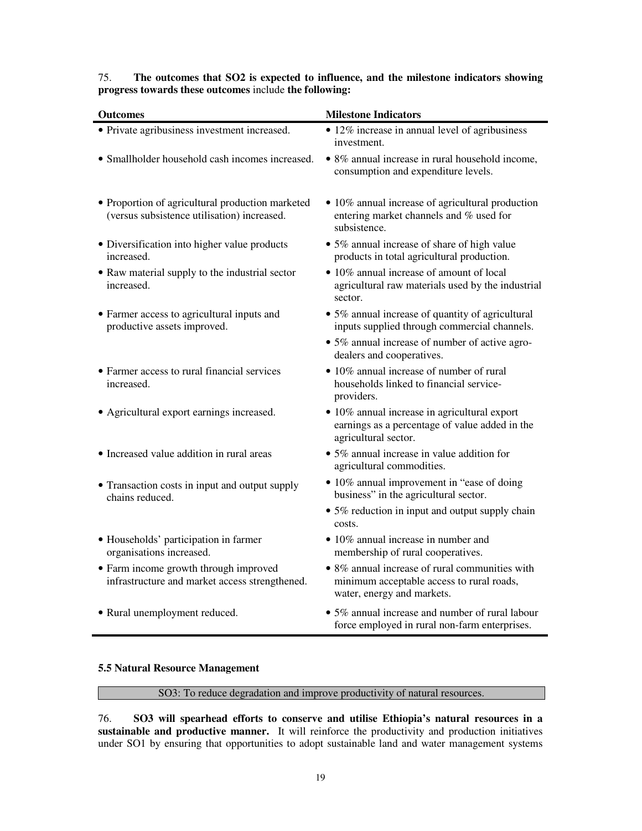# 75. **The outcomes that SO2 is expected to influence, and the milestone indicators showing progress towards these outcomes** include **the following:**

| <b>Outcomes</b>                                                                                 | <b>Milestone Indicators</b>                                                                                               |  |  |  |  |  |
|-------------------------------------------------------------------------------------------------|---------------------------------------------------------------------------------------------------------------------------|--|--|--|--|--|
| • Private agribusiness investment increased.                                                    | • 12% increase in annual level of agribusiness<br>investment.                                                             |  |  |  |  |  |
| • Smallholder household cash incomes increased.                                                 | • 8% annual increase in rural household income,<br>consumption and expenditure levels.                                    |  |  |  |  |  |
| • Proportion of agricultural production marketed<br>(versus subsistence utilisation) increased. | • 10% annual increase of agricultural production<br>entering market channels and % used for<br>subsistence.               |  |  |  |  |  |
| • Diversification into higher value products<br>increased.                                      | • 5% annual increase of share of high value<br>products in total agricultural production.                                 |  |  |  |  |  |
| • Raw material supply to the industrial sector<br>increased.                                    | • 10% annual increase of amount of local<br>agricultural raw materials used by the industrial<br>sector.                  |  |  |  |  |  |
| • Farmer access to agricultural inputs and<br>productive assets improved.                       | • 5% annual increase of quantity of agricultural<br>inputs supplied through commercial channels.                          |  |  |  |  |  |
|                                                                                                 | • 5% annual increase of number of active agro-<br>dealers and cooperatives.                                               |  |  |  |  |  |
| • Farmer access to rural financial services<br>increased.                                       | • 10% annual increase of number of rural<br>households linked to financial service-<br>providers.                         |  |  |  |  |  |
| • Agricultural export earnings increased.                                                       | • 10% annual increase in agricultural export<br>earnings as a percentage of value added in the<br>agricultural sector.    |  |  |  |  |  |
| • Increased value addition in rural areas                                                       | • 5% annual increase in value addition for<br>agricultural commodities.                                                   |  |  |  |  |  |
| • Transaction costs in input and output supply<br>chains reduced.                               | • 10% annual improvement in "ease of doing<br>business" in the agricultural sector.                                       |  |  |  |  |  |
|                                                                                                 | • 5% reduction in input and output supply chain<br>costs.                                                                 |  |  |  |  |  |
| • Households' participation in farmer<br>organisations increased.                               | • 10% annual increase in number and<br>membership of rural cooperatives.                                                  |  |  |  |  |  |
| • Farm income growth through improved<br>infrastructure and market access strengthened.         | • 8% annual increase of rural communities with<br>minimum acceptable access to rural roads,<br>water, energy and markets. |  |  |  |  |  |
| • Rural unemployment reduced.                                                                   | • 5% annual increase and number of rural labour<br>force employed in rural non-farm enterprises.                          |  |  |  |  |  |

### **5.5 Natural Resource Management**

# SO3: To reduce degradation and improve productivity of natural resources.

76. **SO3 will spearhead efforts to conserve and utilise Ethiopia's natural resources in a**  sustainable and productive manner. It will reinforce the productivity and production initiatives under SO1 by ensuring that opportunities to adopt sustainable land and water management systems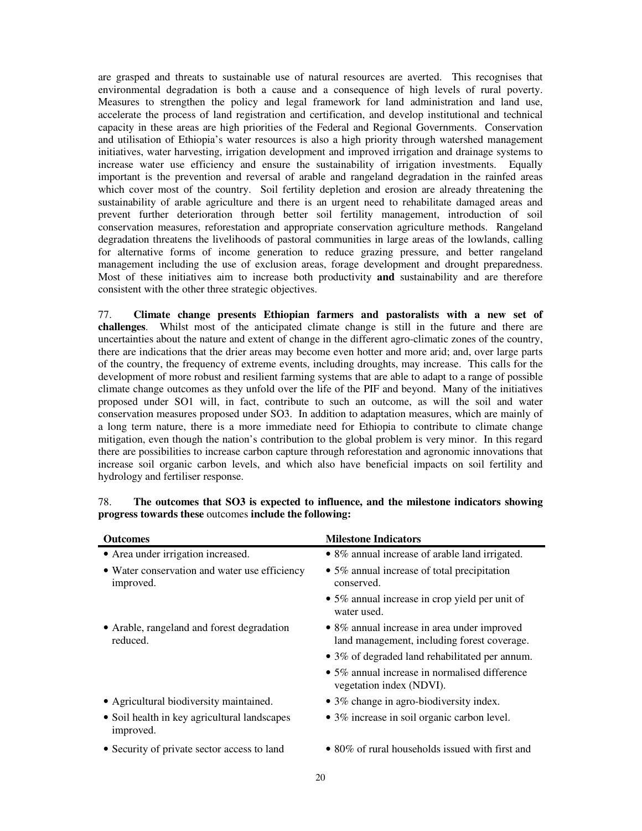are grasped and threats to sustainable use of natural resources are averted. This recognises that environmental degradation is both a cause and a consequence of high levels of rural poverty. Measures to strengthen the policy and legal framework for land administration and land use, accelerate the process of land registration and certification, and develop institutional and technical capacity in these areas are high priorities of the Federal and Regional Governments. Conservation and utilisation of Ethiopia's water resources is also a high priority through watershed management initiatives, water harvesting, irrigation development and improved irrigation and drainage systems to increase water use efficiency and ensure the sustainability of irrigation investments. Equally important is the prevention and reversal of arable and rangeland degradation in the rainfed areas which cover most of the country. Soil fertility depletion and erosion are already threatening the sustainability of arable agriculture and there is an urgent need to rehabilitate damaged areas and prevent further deterioration through better soil fertility management, introduction of soil conservation measures, reforestation and appropriate conservation agriculture methods. Rangeland degradation threatens the livelihoods of pastoral communities in large areas of the lowlands, calling for alternative forms of income generation to reduce grazing pressure, and better rangeland management including the use of exclusion areas, forage development and drought preparedness. Most of these initiatives aim to increase both productivity **and** sustainability and are therefore consistent with the other three strategic objectives.

77. **Climate change presents Ethiopian farmers and pastoralists with a new set of challenges**. Whilst most of the anticipated climate change is still in the future and there are uncertainties about the nature and extent of change in the different agro-climatic zones of the country, there are indications that the drier areas may become even hotter and more arid; and, over large parts of the country, the frequency of extreme events, including droughts, may increase. This calls for the development of more robust and resilient farming systems that are able to adapt to a range of possible climate change outcomes as they unfold over the life of the PIF and beyond. Many of the initiatives proposed under SO1 will, in fact, contribute to such an outcome, as will the soil and water conservation measures proposed under SO3. In addition to adaptation measures, which are mainly of a long term nature, there is a more immediate need for Ethiopia to contribute to climate change mitigation, even though the nation's contribution to the global problem is very minor. In this regard there are possibilities to increase carbon capture through reforestation and agronomic innovations that increase soil organic carbon levels, and which also have beneficial impacts on soil fertility and hydrology and fertiliser response.

| <b>Outcomes</b>                                            | <b>Milestone Indicators</b>                                                                |  |  |  |  |
|------------------------------------------------------------|--------------------------------------------------------------------------------------------|--|--|--|--|
| • Area under irrigation increased.                         | • 8% annual increase of arable land irrigated.                                             |  |  |  |  |
| • Water conservation and water use efficiency<br>improved. | • 5% annual increase of total precipitation<br>conserved.                                  |  |  |  |  |
|                                                            | • 5% annual increase in crop yield per unit of<br>water used.                              |  |  |  |  |
| • Arable, rangeland and forest degradation<br>reduced.     | • 8% annual increase in area under improved<br>land management, including forest coverage. |  |  |  |  |
|                                                            | • 3% of degraded land rehabilitated per annum.                                             |  |  |  |  |
|                                                            | • 5% annual increase in normalised difference<br>vegetation index (NDVI).                  |  |  |  |  |
| • Agricultural biodiversity maintained.                    | • 3% change in agro-biodiversity index.                                                    |  |  |  |  |
| • Soil health in key agricultural landscapes<br>improved.  | • 3% increase in soil organic carbon level.                                                |  |  |  |  |
| • Security of private sector access to land                | • 80% of rural households issued with first and                                            |  |  |  |  |

## 78. **The outcomes that SO3 is expected to influence, and the milestone indicators showing progress towards these** outcomes **include the following:**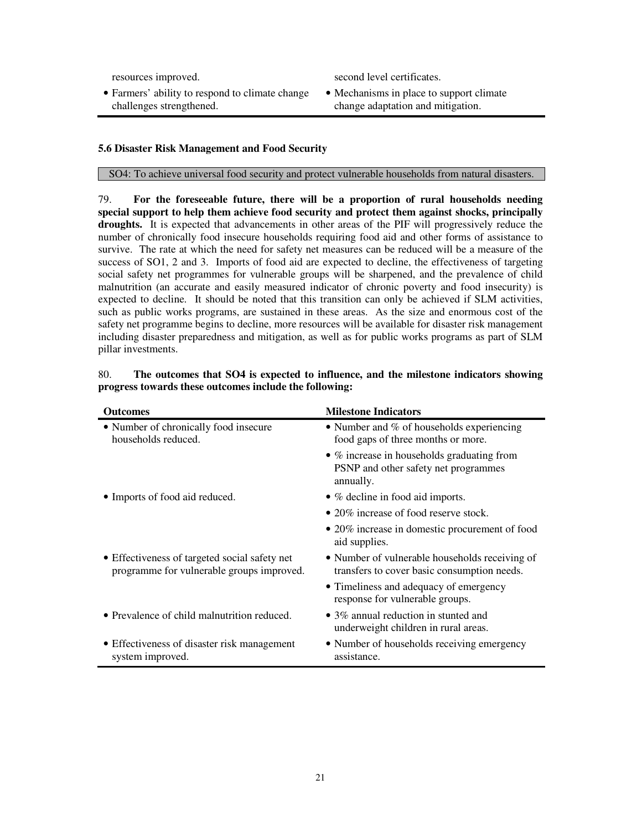resources improved. second level certificates.

- Farmers' ability to respond to climate change challenges strengthened.
- Mechanisms in place to support climate change adaptation and mitigation.

## **5.6 Disaster Risk Management and Food Security**

SO4: To achieve universal food security and protect vulnerable households from natural disasters.

79. **For the foreseeable future, there will be a proportion of rural households needing special support to help them achieve food security and protect them against shocks, principally droughts.** It is expected that advancements in other areas of the PIF will progressively reduce the number of chronically food insecure households requiring food aid and other forms of assistance to survive. The rate at which the need for safety net measures can be reduced will be a measure of the success of SO1, 2 and 3. Imports of food aid are expected to decline, the effectiveness of targeting social safety net programmes for vulnerable groups will be sharpened, and the prevalence of child malnutrition (an accurate and easily measured indicator of chronic poverty and food insecurity) is expected to decline. It should be noted that this transition can only be achieved if SLM activities, such as public works programs, are sustained in these areas. As the size and enormous cost of the safety net programme begins to decline, more resources will be available for disaster risk management including disaster preparedness and mitigation, as well as for public works programs as part of SLM pillar investments.

| <b>Outcomes</b>                                                                            | <b>Milestone Indicators</b>                                                                             |
|--------------------------------------------------------------------------------------------|---------------------------------------------------------------------------------------------------------|
| • Number of chronically food insecure<br>households reduced.                               | • Number and $%$ of households experiencing<br>food gaps of three months or more.                       |
|                                                                                            | $\bullet$ % increase in households graduating from<br>PSNP and other safety net programmes<br>annually. |
| • Imports of food aid reduced.                                                             | • % decline in food aid imports.                                                                        |
|                                                                                            | • 20% increase of food reserve stock.                                                                   |
|                                                                                            | • 20% increase in domestic procurement of food<br>aid supplies.                                         |
| • Effectiveness of targeted social safety net<br>programme for vulnerable groups improved. | • Number of vulnerable households receiving of<br>transfers to cover basic consumption needs.           |
|                                                                                            | • Timeliness and adequacy of emergency<br>response for vulnerable groups.                               |
| • Prevalence of child malnutrition reduced.                                                | $\bullet$ 3% annual reduction in stunted and<br>underweight children in rural areas.                    |
| • Effectiveness of disaster risk management<br>system improved.                            | • Number of households receiving emergency<br>assistance.                                               |

# 80. **The outcomes that SO4 is expected to influence, and the milestone indicators showing progress towards these outcomes include the following:**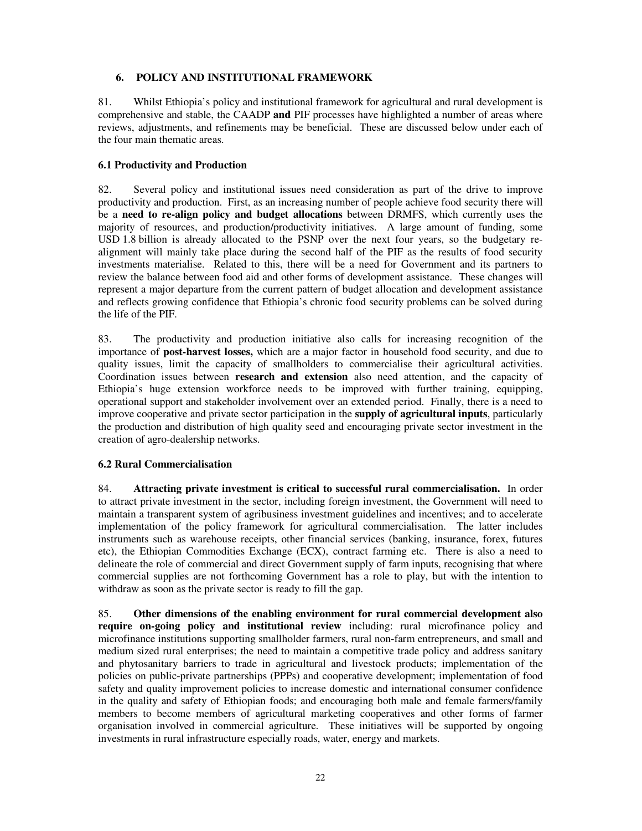## **6. POLICY AND INSTITUTIONAL FRAMEWORK**

81. Whilst Ethiopia's policy and institutional framework for agricultural and rural development is comprehensive and stable, the CAADP **and** PIF processes have highlighted a number of areas where reviews, adjustments, and refinements may be beneficial. These are discussed below under each of the four main thematic areas.

## **6.1 Productivity and Production**

82. Several policy and institutional issues need consideration as part of the drive to improve productivity and production. First, as an increasing number of people achieve food security there will be a **need to re-align policy and budget allocations** between DRMFS, which currently uses the majority of resources, and production/productivity initiatives. A large amount of funding, some USD 1.8 billion is already allocated to the PSNP over the next four years, so the budgetary realignment will mainly take place during the second half of the PIF as the results of food security investments materialise. Related to this, there will be a need for Government and its partners to review the balance between food aid and other forms of development assistance. These changes will represent a major departure from the current pattern of budget allocation and development assistance and reflects growing confidence that Ethiopia's chronic food security problems can be solved during the life of the PIF.

83. The productivity and production initiative also calls for increasing recognition of the importance of **post-harvest losses,** which are a major factor in household food security, and due to quality issues, limit the capacity of smallholders to commercialise their agricultural activities. Coordination issues between **research and extension** also need attention, and the capacity of Ethiopia's huge extension workforce needs to be improved with further training, equipping, operational support and stakeholder involvement over an extended period. Finally, there is a need to improve cooperative and private sector participation in the **supply of agricultural inputs**, particularly the production and distribution of high quality seed and encouraging private sector investment in the creation of agro-dealership networks.

# **6.2 Rural Commercialisation**

84. **Attracting private investment is critical to successful rural commercialisation.** In order to attract private investment in the sector, including foreign investment, the Government will need to maintain a transparent system of agribusiness investment guidelines and incentives; and to accelerate implementation of the policy framework for agricultural commercialisation. The latter includes instruments such as warehouse receipts, other financial services (banking, insurance, forex, futures etc), the Ethiopian Commodities Exchange (ECX), contract farming etc. There is also a need to delineate the role of commercial and direct Government supply of farm inputs, recognising that where commercial supplies are not forthcoming Government has a role to play, but with the intention to withdraw as soon as the private sector is ready to fill the gap.

85. **Other dimensions of the enabling environment for rural commercial development also require on-going policy and institutional review** including: rural microfinance policy and microfinance institutions supporting smallholder farmers, rural non-farm entrepreneurs, and small and medium sized rural enterprises; the need to maintain a competitive trade policy and address sanitary and phytosanitary barriers to trade in agricultural and livestock products; implementation of the policies on public-private partnerships (PPPs) and cooperative development; implementation of food safety and quality improvement policies to increase domestic and international consumer confidence in the quality and safety of Ethiopian foods; and encouraging both male and female farmers/family members to become members of agricultural marketing cooperatives and other forms of farmer organisation involved in commercial agriculture. These initiatives will be supported by ongoing investments in rural infrastructure especially roads, water, energy and markets.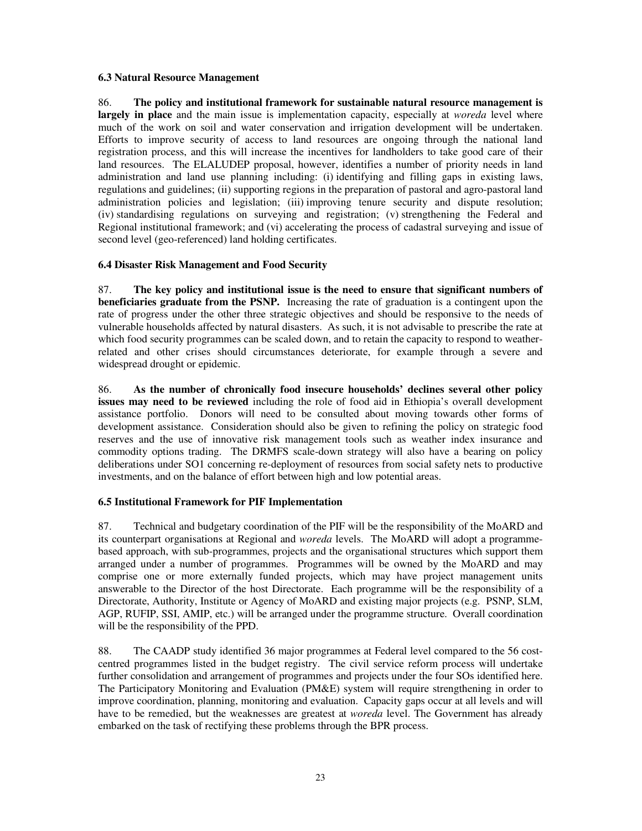### **6.3 Natural Resource Management**

86. **The policy and institutional framework for sustainable natural resource management is largely in place** and the main issue is implementation capacity, especially at *woreda* level where much of the work on soil and water conservation and irrigation development will be undertaken. Efforts to improve security of access to land resources are ongoing through the national land registration process, and this will increase the incentives for landholders to take good care of their land resources. The ELALUDEP proposal, however, identifies a number of priority needs in land administration and land use planning including: (i) identifying and filling gaps in existing laws, regulations and guidelines; (ii) supporting regions in the preparation of pastoral and agro-pastoral land administration policies and legislation; (iii) improving tenure security and dispute resolution; (iv) standardising regulations on surveying and registration; (v) strengthening the Federal and Regional institutional framework; and (vi) accelerating the process of cadastral surveying and issue of second level (geo-referenced) land holding certificates.

## **6.4 Disaster Risk Management and Food Security**

87. **The key policy and institutional issue is the need to ensure that significant numbers of beneficiaries graduate from the PSNP.** Increasing the rate of graduation is a contingent upon the rate of progress under the other three strategic objectives and should be responsive to the needs of vulnerable households affected by natural disasters. As such, it is not advisable to prescribe the rate at which food security programmes can be scaled down, and to retain the capacity to respond to weatherrelated and other crises should circumstances deteriorate, for example through a severe and widespread drought or epidemic.

86. **As the number of chronically food insecure households' declines several other policy issues may need to be reviewed** including the role of food aid in Ethiopia's overall development assistance portfolio. Donors will need to be consulted about moving towards other forms of development assistance. Consideration should also be given to refining the policy on strategic food reserves and the use of innovative risk management tools such as weather index insurance and commodity options trading. The DRMFS scale-down strategy will also have a bearing on policy deliberations under SO1 concerning re-deployment of resources from social safety nets to productive investments, and on the balance of effort between high and low potential areas.

# **6.5 Institutional Framework for PIF Implementation**

87. Technical and budgetary coordination of the PIF will be the responsibility of the MoARD and its counterpart organisations at Regional and *woreda* levels. The MoARD will adopt a programmebased approach, with sub-programmes, projects and the organisational structures which support them arranged under a number of programmes. Programmes will be owned by the MoARD and may comprise one or more externally funded projects, which may have project management units answerable to the Director of the host Directorate. Each programme will be the responsibility of a Directorate, Authority, Institute or Agency of MoARD and existing major projects (e.g. PSNP, SLM, AGP, RUFIP, SSI, AMIP, etc.) will be arranged under the programme structure. Overall coordination will be the responsibility of the PPD.

88. The CAADP study identified 36 major programmes at Federal level compared to the 56 costcentred programmes listed in the budget registry. The civil service reform process will undertake further consolidation and arrangement of programmes and projects under the four SOs identified here. The Participatory Monitoring and Evaluation (PM&E) system will require strengthening in order to improve coordination, planning, monitoring and evaluation. Capacity gaps occur at all levels and will have to be remedied, but the weaknesses are greatest at *woreda* level. The Government has already embarked on the task of rectifying these problems through the BPR process.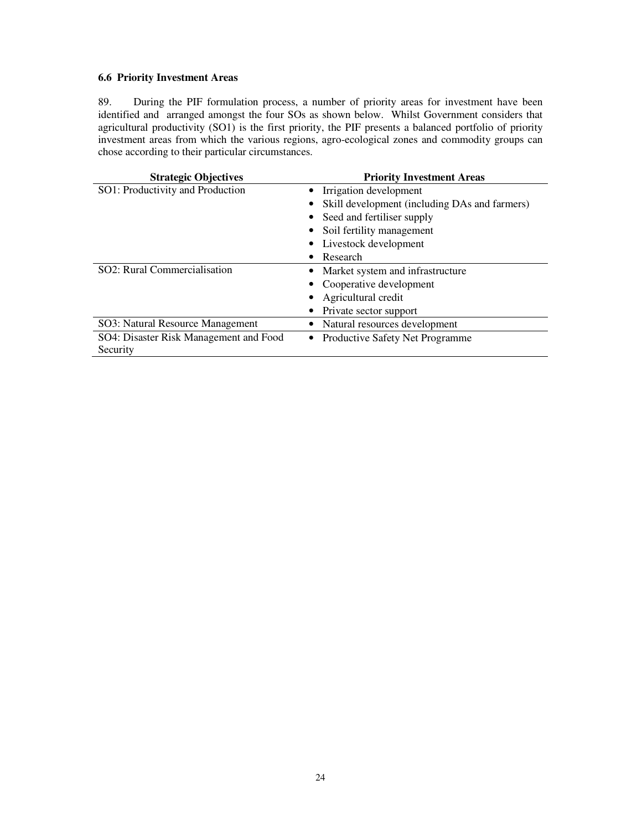### **6.6 Priority Investment Areas**

89. During the PIF formulation process, a number of priority areas for investment have been identified and arranged amongst the four SOs as shown below. Whilst Government considers that agricultural productivity (SO1) is the first priority, the PIF presents a balanced portfolio of priority investment areas from which the various regions, agro-ecological zones and commodity groups can chose according to their particular circumstances.

| <b>Strategic Objectives</b>                 | <b>Priority Investment Areas</b>              |  |  |  |  |  |  |
|---------------------------------------------|-----------------------------------------------|--|--|--|--|--|--|
| SO1: Productivity and Production            | Irrigation development                        |  |  |  |  |  |  |
|                                             | Skill development (including DAs and farmers) |  |  |  |  |  |  |
|                                             | Seed and fertiliser supply                    |  |  |  |  |  |  |
|                                             | Soil fertility management                     |  |  |  |  |  |  |
|                                             | Livestock development                         |  |  |  |  |  |  |
|                                             | Research                                      |  |  |  |  |  |  |
| SO2: Rural Commercialisation                | Market system and infrastructure              |  |  |  |  |  |  |
|                                             | Cooperative development                       |  |  |  |  |  |  |
|                                             | Agricultural credit                           |  |  |  |  |  |  |
|                                             | Private sector support                        |  |  |  |  |  |  |
| SO3: Natural Resource Management            | Natural resources development                 |  |  |  |  |  |  |
| SO4: Disaster Risk Management and Food<br>٠ | Productive Safety Net Programme               |  |  |  |  |  |  |
| Security                                    |                                               |  |  |  |  |  |  |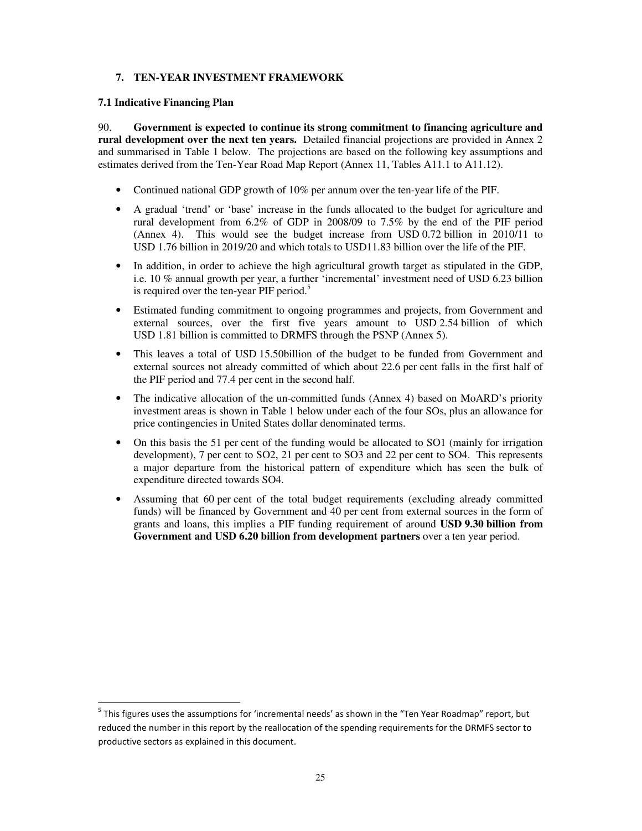## **7. TEN-YEAR INVESTMENT FRAMEWORK**

### **7.1 Indicative Financing Plan**

 $\overline{a}$ 

90. **Government is expected to continue its strong commitment to financing agriculture and rural development over the next ten years.** Detailed financial projections are provided in Annex 2 and summarised in Table 1 below. The projections are based on the following key assumptions and estimates derived from the Ten-Year Road Map Report (Annex 11, Tables A11.1 to A11.12).

- Continued national GDP growth of 10% per annum over the ten-year life of the PIF.
- A gradual 'trend' or 'base' increase in the funds allocated to the budget for agriculture and rural development from 6.2% of GDP in 2008/09 to 7.5% by the end of the PIF period (Annex 4). This would see the budget increase from USD 0.72 billion in 2010/11 to USD 1.76 billion in 2019/20 and which totals to USD11.83 billion over the life of the PIF.
- In addition, in order to achieve the high agricultural growth target as stipulated in the GDP, i.e. 10 % annual growth per year, a further 'incremental' investment need of USD 6.23 billion is required over the ten-year PIF period. $5$
- Estimated funding commitment to ongoing programmes and projects, from Government and external sources, over the first five years amount to USD 2.54 billion of which USD 1.81 billion is committed to DRMFS through the PSNP (Annex 5).
- This leaves a total of USD 15.50billion of the budget to be funded from Government and external sources not already committed of which about 22.6 per cent falls in the first half of the PIF period and 77.4 per cent in the second half.
- The indicative allocation of the un-committed funds (Annex 4) based on MoARD's priority investment areas is shown in Table 1 below under each of the four SOs, plus an allowance for price contingencies in United States dollar denominated terms.
- On this basis the 51 per cent of the funding would be allocated to SO1 (mainly for irrigation development), 7 per cent to SO2, 21 per cent to SO3 and 22 per cent to SO4. This represents a major departure from the historical pattern of expenditure which has seen the bulk of expenditure directed towards SO4.
- Assuming that 60 per cent of the total budget requirements (excluding already committed funds) will be financed by Government and 40 per cent from external sources in the form of grants and loans, this implies a PIF funding requirement of around **USD 9.30 billion from Government and USD 6.20 billion from development partners** over a ten year period.

<sup>&</sup>lt;sup>5</sup> This figures uses the assumptions for 'incremental needs' as shown in the "Ten Year Roadmap" report, but reduced the number in this report by the reallocation of the spending requirements for the DRMFS sector to productive sectors as explained in this document.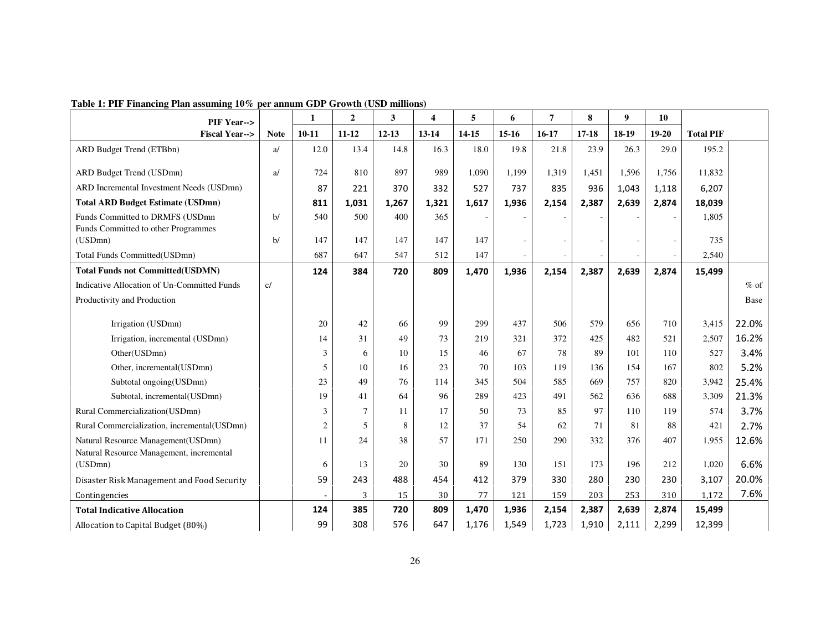| PIF Year-->                                                                               |             | 1              | $\boldsymbol{2}$ | 3         | $\overline{\mathbf{4}}$ | 5        | 6                        | 7                        | 8       | $\boldsymbol{9}$ | 10         |                  |               |
|-------------------------------------------------------------------------------------------|-------------|----------------|------------------|-----------|-------------------------|----------|--------------------------|--------------------------|---------|------------------|------------|------------------|---------------|
| <b>Fiscal Year--&gt;</b>                                                                  | <b>Note</b> | $10 - 11$      | $11 - 12$        | $12 - 13$ | $13 - 14$               | 14-15    | $15-16$                  | $16-17$                  | $17-18$ | 18-19            | $19-20$    | <b>Total PIF</b> |               |
| <b>ARD Budget Trend (ETBbn)</b>                                                           | a           | 12.0           | 13.4             | 14.8      | 16.3                    | 18.0     | 19.8                     | 21.8                     | 23.9    | 26.3             | 29.0       | 195.2            |               |
| ARD Budget Trend (USDmn)                                                                  | a/          | 724            | 810              | 897       | 989                     | 1,090    | 1,199                    | 1,319                    | 1,451   | 1,596            | 1,756      | 11,832           |               |
| ARD Incremental Investment Needs (USDmn)                                                  |             | 87             | 221              | 370       | 332                     | 527      | 737                      | 835                      | 936     | 1,043            | 1,118      | 6,207            |               |
| <b>Total ARD Budget Estimate (USDmn)</b>                                                  |             | 811            | 1,031            | 1,267     | 1,321                   | 1,617    | 1,936                    | 2,154                    | 2,387   | 2,639            | 2,874      | 18,039           |               |
| Funds Committed to DRMFS (USDmn<br>Funds Committed to other Programmes                    | $b$         | 540            | 500              | 400       | 365                     |          |                          |                          |         |                  |            | 1,805            |               |
| (USDmn)                                                                                   | $b$         | 147            | 147              | 147       | 147                     | 147      | $\overline{\phantom{a}}$ | $\overline{\phantom{a}}$ | $\sim$  |                  |            | 735              |               |
| Total Funds Committed(USDmn)                                                              |             | 687            | 647              | 547       | 512                     | 147      |                          |                          |         |                  |            | 2,540            |               |
| <b>Total Funds not Committed(USDMN)</b>                                                   |             | 124            | 384              | 720       | 809                     | 1,470    | 1,936                    | 2,154                    | 2,387   | 2,639            | 2,874      | 15,499           |               |
| Indicative Allocation of Un-Committed Funds                                               | c/          |                |                  |           |                         |          |                          |                          |         |                  |            |                  | $%$ of        |
| Productivity and Production                                                               |             |                |                  |           |                         |          |                          |                          |         |                  |            |                  | Base          |
|                                                                                           |             | 20             | 42               | 66        | 99                      | 299      | 437                      | 506                      | 579     | 656              |            |                  |               |
| Irrigation (USDmn)                                                                        |             |                | 31               | 49        | 73                      | 219      |                          | 372                      | 425     | 482              | 710        | 3,415            | 22.0%         |
| Irrigation, incremental (USDmn)                                                           |             | 14             |                  | 10        | 15                      |          | 321<br>67                | 78                       | 89      | 101              | 521<br>110 | 2,507<br>527     | 16.2%         |
| Other(USDmn)                                                                              |             | 3<br>5         | 6<br>10          | 16        | 23                      | 46<br>70 | 103                      | 119                      | 136     | 154              | 167        | 802              | 3.4%<br>5.2%  |
| Other, incremental(USDmn)                                                                 |             | 23             | 49               | 76        | 114                     | 345      | 504                      | 585                      | 669     | 757              | 820        | 3,942            | 25.4%         |
| Subtotal ongoing(USDmn)<br>Subtotal, incremental(USDmn)                                   |             | 19             | 41               | 64        | 96                      | 289      | 423                      | 491                      | 562     | 636              | 688        | 3,309            | 21.3%         |
| Rural Commercialization(USDmn)                                                            |             | 3              | 7                | 11        | 17                      | 50       | 73                       | 85                       | 97      | 110              | 119        | 574              | 3.7%          |
| Rural Commercialization, incremental(USDmn)                                               |             | $\overline{c}$ | 5                | 8         | 12                      | 37       | 54                       | 62                       | 71      | 81               | 88         | 421              | 2.7%          |
|                                                                                           |             | 11             | 24               | 38        | 57                      | 171      | 250                      | 290                      | 332     | 376              | 407        | 1,955            |               |
| Natural Resource Management(USDmn)<br>Natural Resource Management, incremental<br>(USDmn) |             | 6              | 13               | 20        | 30                      | 89       | 130                      | 151                      | 173     | 196              | 212        | 1,020            | 12.6%<br>6.6% |
|                                                                                           |             |                |                  |           |                         |          |                          |                          |         |                  |            |                  |               |
| Disaster Risk Management and Food Security                                                |             | 59             | 243              | 488       | 454                     | 412      | 379                      | 330                      | 280     | 230              | 230        | 3,107            | 20.0%         |
| Contingencies                                                                             |             |                | 3                | 15        | 30                      | 77       | 121                      | 159                      | 203     | 253              | 310        | 1,172            | 7.6%          |
| <b>Total Indicative Allocation</b>                                                        |             | 124            | 385              | 720       | 809                     | 1,470    | 1,936                    | 2,154                    | 2,387   | 2,639            | 2,874      | 15,499           |               |
| Allocation to Capital Budget (80%)                                                        |             | 99             | 308              | 576       | 647                     | 1,176    | 1,549                    | 1,723                    | 1,910   | 2,111            | 2,299      | 12,399           |               |

# **Table 1: PIF Financing Plan assuming 10% per annum GDP Growth (USD millions)**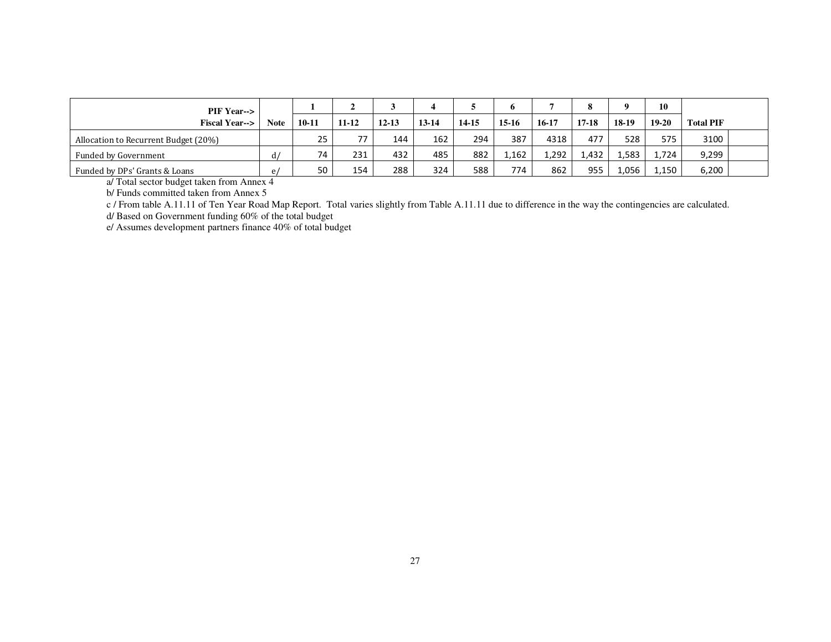| <b>PIF Year--&gt;</b>                |    |           |           |           |       |       | n       |           | 8     | 0       | 10      |                  |  |
|--------------------------------------|----|-----------|-----------|-----------|-------|-------|---------|-----------|-------|---------|---------|------------------|--|
| <b>Fiscal Year--&gt;</b>             |    | $10 - 11$ | $11 - 12$ | $12 - 13$ | 13-14 | 14-15 | $15-16$ | $16 - 17$ | 17-18 | $18-19$ | $19-20$ | <b>Total PIF</b> |  |
| Allocation to Recurrent Budget (20%) |    | 25        | 77        | 144       | 162   | 294   | 387     | 4318      | 477   | 528     | 575     | 3100             |  |
| Funded by Government                 | d/ | 74        | 231       | 432       | 485   | 882   | 1,162   | 1,292     | 1,432 | 1,583   | 1,724   | 9,299            |  |
| Funded by DPs' Grants & Loans        | e, | 50        | 154       | 288       | 324   | 588   | 774     | 862       | 955   | 1,056   | 1,150   | 6,200            |  |

a/ Total sector budget taken from Annex 4 b/ Funds committed taken from Annex 5

c / From table A.11.11 of Ten Year Road Map Report. Total varies slightly from Table A.11.11 due to difference in the way the contingencies are calculated.

d/ Based on Government funding 60% of the total budget e/ Assumes development partners finance 40% of total budget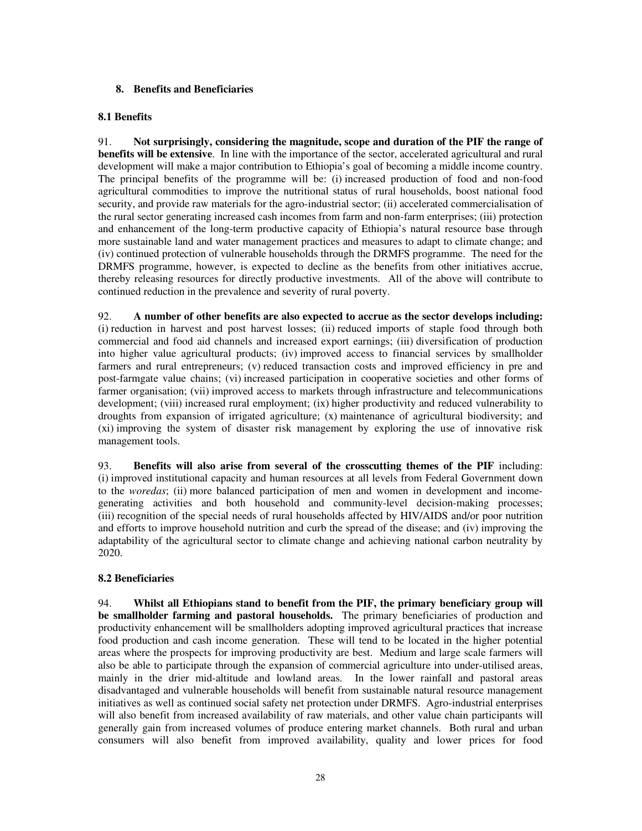## **8. Benefits and Beneficiaries**

### **8.1 Benefits**

91. **Not surprisingly, considering the magnitude, scope and duration of the PIF the range of benefits will be extensive**. In line with the importance of the sector, accelerated agricultural and rural development will make a major contribution to Ethiopia's goal of becoming a middle income country. The principal benefits of the programme will be: (i) increased production of food and non-food agricultural commodities to improve the nutritional status of rural households, boost national food security, and provide raw materials for the agro-industrial sector; (ii) accelerated commercialisation of the rural sector generating increased cash incomes from farm and non-farm enterprises; (iii) protection and enhancement of the long-term productive capacity of Ethiopia's natural resource base through more sustainable land and water management practices and measures to adapt to climate change; and (iv) continued protection of vulnerable households through the DRMFS programme. The need for the DRMFS programme, however, is expected to decline as the benefits from other initiatives accrue, thereby releasing resources for directly productive investments. All of the above will contribute to continued reduction in the prevalence and severity of rural poverty.

92. **A number of other benefits are also expected to accrue as the sector develops including:**  (i) reduction in harvest and post harvest losses; (ii) reduced imports of staple food through both commercial and food aid channels and increased export earnings; (iii) diversification of production into higher value agricultural products; (iv) improved access to financial services by smallholder farmers and rural entrepreneurs; (v) reduced transaction costs and improved efficiency in pre and post-farmgate value chains; (vi) increased participation in cooperative societies and other forms of farmer organisation; (vii) improved access to markets through infrastructure and telecommunications development; (viii) increased rural employment; (ix) higher productivity and reduced vulnerability to droughts from expansion of irrigated agriculture; (x) maintenance of agricultural biodiversity; and (xi) improving the system of disaster risk management by exploring the use of innovative risk management tools.

93. **Benefits will also arise from several of the crosscutting themes of the PIF** including: (i) improved institutional capacity and human resources at all levels from Federal Government down to the *woredas*; (ii) more balanced participation of men and women in development and incomegenerating activities and both household and community-level decision-making processes; (iii) recognition of the special needs of rural households affected by HIV/AIDS and/or poor nutrition and efforts to improve household nutrition and curb the spread of the disease; and (iv) improving the adaptability of the agricultural sector to climate change and achieving national carbon neutrality by 2020.

# **8.2 Beneficiaries**

94. **Whilst all Ethiopians stand to benefit from the PIF, the primary beneficiary group will be smallholder farming and pastoral households.** The primary beneficiaries of production and productivity enhancement will be smallholders adopting improved agricultural practices that increase food production and cash income generation. These will tend to be located in the higher potential areas where the prospects for improving productivity are best. Medium and large scale farmers will also be able to participate through the expansion of commercial agriculture into under-utilised areas, mainly in the drier mid-altitude and lowland areas. In the lower rainfall and pastoral areas disadvantaged and vulnerable households will benefit from sustainable natural resource management initiatives as well as continued social safety net protection under DRMFS. Agro-industrial enterprises will also benefit from increased availability of raw materials, and other value chain participants will generally gain from increased volumes of produce entering market channels. Both rural and urban consumers will also benefit from improved availability, quality and lower prices for food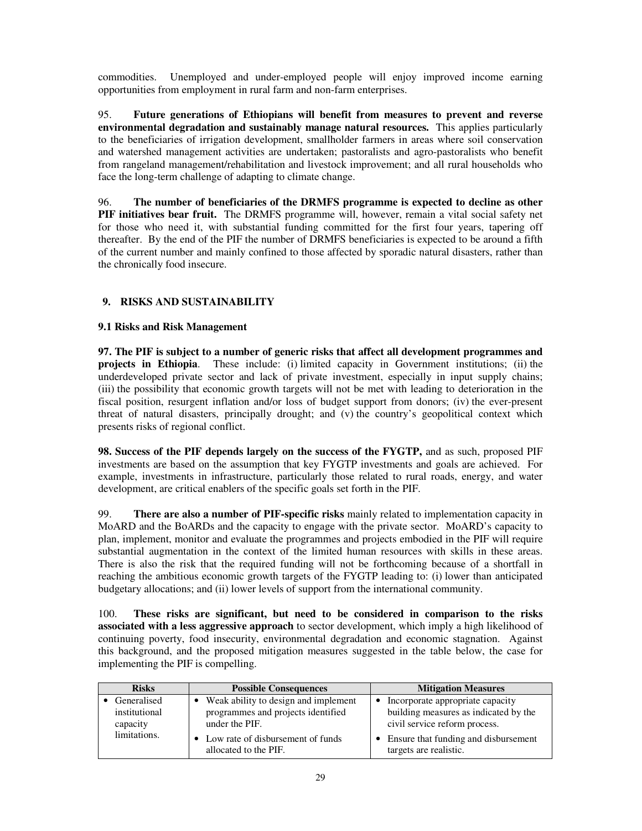commodities. Unemployed and under-employed people will enjoy improved income earning opportunities from employment in rural farm and non-farm enterprises.

95. **Future generations of Ethiopians will benefit from measures to prevent and reverse environmental degradation and sustainably manage natural resources.** This applies particularly to the beneficiaries of irrigation development, smallholder farmers in areas where soil conservation and watershed management activities are undertaken; pastoralists and agro-pastoralists who benefit from rangeland management/rehabilitation and livestock improvement; and all rural households who face the long-term challenge of adapting to climate change.

96. **The number of beneficiaries of the DRMFS programme is expected to decline as other PIF initiatives bear fruit.** The DRMFS programme will, however, remain a vital social safety net for those who need it, with substantial funding committed for the first four years, tapering off thereafter. By the end of the PIF the number of DRMFS beneficiaries is expected to be around a fifth of the current number and mainly confined to those affected by sporadic natural disasters, rather than the chronically food insecure.

# **9. RISKS AND SUSTAINABILITY**

## **9.1 Risks and Risk Management**

**97. The PIF is subject to a number of generic risks that affect all development programmes and projects in Ethiopia**. These include: (i) limited capacity in Government institutions; (ii) the underdeveloped private sector and lack of private investment, especially in input supply chains; (iii) the possibility that economic growth targets will not be met with leading to deterioration in the fiscal position, resurgent inflation and/or loss of budget support from donors; (iv) the ever-present threat of natural disasters, principally drought; and (v) the country's geopolitical context which presents risks of regional conflict.

**98. Success of the PIF depends largely on the success of the FYGTP,** and as such, proposed PIF investments are based on the assumption that key FYGTP investments and goals are achieved. For example, investments in infrastructure, particularly those related to rural roads, energy, and water development, are critical enablers of the specific goals set forth in the PIF.

99. **There are also a number of PIF-specific risks** mainly related to implementation capacity in MoARD and the BoARDs and the capacity to engage with the private sector. MoARD's capacity to plan, implement, monitor and evaluate the programmes and projects embodied in the PIF will require substantial augmentation in the context of the limited human resources with skills in these areas. There is also the risk that the required funding will not be forthcoming because of a shortfall in reaching the ambitious economic growth targets of the FYGTP leading to: (i) lower than anticipated budgetary allocations; and (ii) lower levels of support from the international community.

100. **These risks are significant, but need to be considered in comparison to the risks associated with a less aggressive approach** to sector development, which imply a high likelihood of continuing poverty, food insecurity, environmental degradation and economic stagnation. Against this background, and the proposed mitigation measures suggested in the table below, the case for implementing the PIF is compelling.

| <b>Risks</b>                             | <b>Possible Consequences</b>                                                                 | <b>Mitigation Measures</b>                                                                                   |
|------------------------------------------|----------------------------------------------------------------------------------------------|--------------------------------------------------------------------------------------------------------------|
| Generalised<br>institutional<br>capacity | Weak ability to design and implement<br>programmes and projects identified<br>under the PIF. | • Incorporate appropriate capacity<br>building measures as indicated by the<br>civil service reform process. |
| limitations.                             | Low rate of disbursement of funds<br>allocated to the PIF.                                   | • Ensure that funding and disbursement<br>targets are realistic.                                             |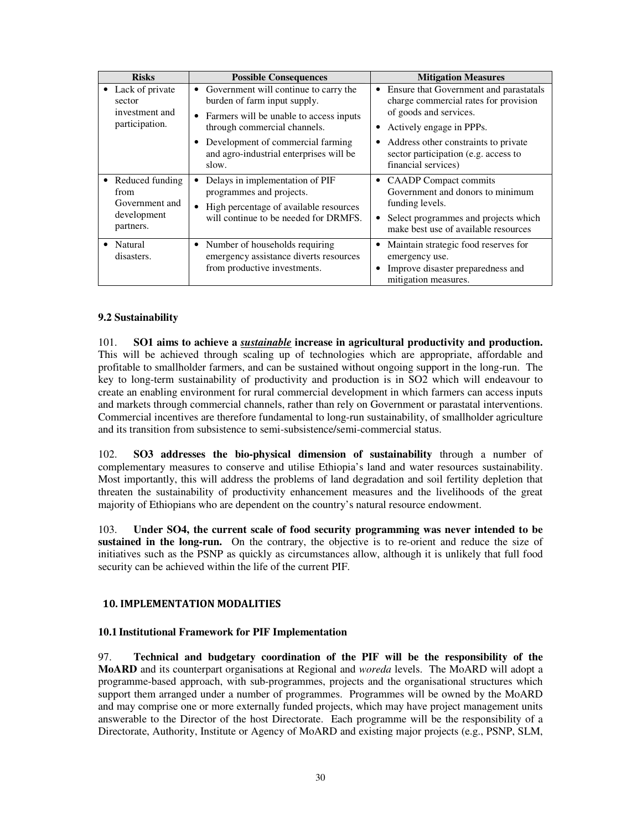| <b>Risks</b>                                                            | <b>Possible Consequences</b>                                                                                                                                                                                                                             | <b>Mitigation Measures</b>                                                                                                                                                                                                                   |
|-------------------------------------------------------------------------|----------------------------------------------------------------------------------------------------------------------------------------------------------------------------------------------------------------------------------------------------------|----------------------------------------------------------------------------------------------------------------------------------------------------------------------------------------------------------------------------------------------|
| Lack of private<br>sector<br>investment and<br>participation.           | • Government will continue to carry the<br>burden of farm input supply.<br>Farmers will be unable to access inputs<br>$\bullet$<br>through commercial channels.<br>Development of commercial farming<br>and agro-industrial enterprises will be<br>slow. | Ensure that Government and parastatals<br>charge commercial rates for provision<br>of goods and services.<br>Actively engage in PPPs.<br>Address other constraints to private<br>sector participation (e.g. access to<br>financial services) |
| • Reduced funding<br>from<br>Government and<br>development<br>partners. | Delays in implementation of PIF<br>٠<br>programmes and projects.<br>High percentage of available resources<br>$\bullet$<br>will continue to be needed for DRMFS.                                                                                         | <b>CAADP</b> Compact commits<br>$\bullet$<br>Government and donors to minimum<br>funding levels.<br>Select programmes and projects which<br>make best use of available resources                                                             |
| • Natural<br>disasters.                                                 | • Number of households requiring<br>emergency assistance diverts resources<br>from productive investments.                                                                                                                                               | Maintain strategic food reserves for<br>emergency use.<br>Improve disaster preparedness and<br>mitigation measures.                                                                                                                          |

## **9.2 Sustainability**

101. **SO1 aims to achieve a** *sustainable* **increase in agricultural productivity and production.**  This will be achieved through scaling up of technologies which are appropriate, affordable and profitable to smallholder farmers, and can be sustained without ongoing support in the long-run. The key to long-term sustainability of productivity and production is in SO2 which will endeavour to create an enabling environment for rural commercial development in which farmers can access inputs and markets through commercial channels, rather than rely on Government or parastatal interventions. Commercial incentives are therefore fundamental to long-run sustainability, of smallholder agriculture and its transition from subsistence to semi-subsistence/semi-commercial status.

102. **SO3 addresses the bio-physical dimension of sustainability** through a number of complementary measures to conserve and utilise Ethiopia's land and water resources sustainability. Most importantly, this will address the problems of land degradation and soil fertility depletion that threaten the sustainability of productivity enhancement measures and the livelihoods of the great majority of Ethiopians who are dependent on the country's natural resource endowment.

103. **Under SO4, the current scale of food security programming was never intended to be sustained in the long-run.** On the contrary, the objective is to re-orient and reduce the size of initiatives such as the PSNP as quickly as circumstances allow, although it is unlikely that full food security can be achieved within the life of the current PIF.

### 10. IMPLEMENTATION MODALITIES

### **10.1 Institutional Framework for PIF Implementation**

97. **Technical and budgetary coordination of the PIF will be the responsibility of the MoARD** and its counterpart organisations at Regional and *woreda* levels. The MoARD will adopt a programme-based approach, with sub-programmes, projects and the organisational structures which support them arranged under a number of programmes. Programmes will be owned by the MoARD and may comprise one or more externally funded projects, which may have project management units answerable to the Director of the host Directorate. Each programme will be the responsibility of a Directorate, Authority, Institute or Agency of MoARD and existing major projects (e.g., PSNP, SLM,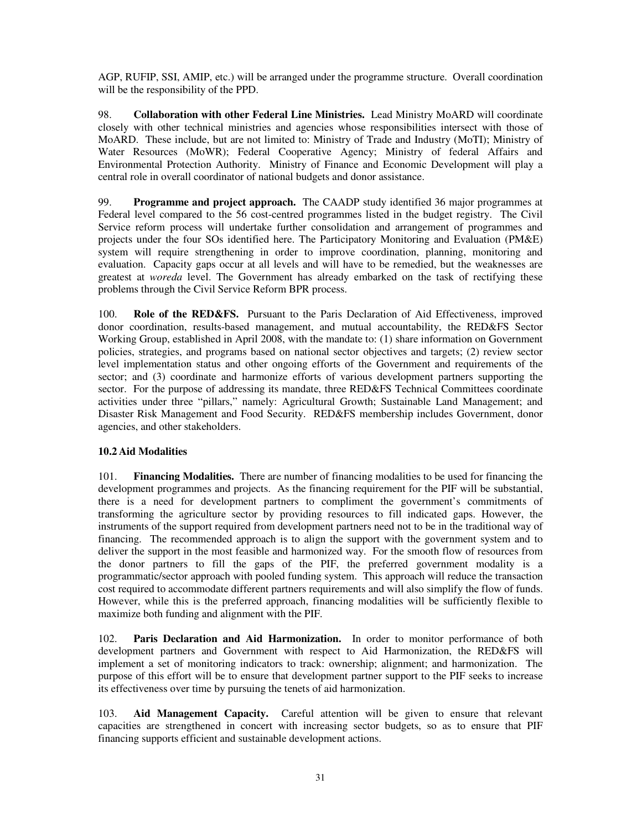AGP, RUFIP, SSI, AMIP, etc.) will be arranged under the programme structure. Overall coordination will be the responsibility of the PPD.

98. **Collaboration with other Federal Line Ministries.** Lead Ministry MoARD will coordinate closely with other technical ministries and agencies whose responsibilities intersect with those of MoARD. These include, but are not limited to: Ministry of Trade and Industry (MoTI); Ministry of Water Resources (MoWR); Federal Cooperative Agency; Ministry of federal Affairs and Environmental Protection Authority. Ministry of Finance and Economic Development will play a central role in overall coordinator of national budgets and donor assistance.

99. **Programme and project approach.** The CAADP study identified 36 major programmes at Federal level compared to the 56 cost-centred programmes listed in the budget registry. The Civil Service reform process will undertake further consolidation and arrangement of programmes and projects under the four SOs identified here. The Participatory Monitoring and Evaluation (PM&E) system will require strengthening in order to improve coordination, planning, monitoring and evaluation. Capacity gaps occur at all levels and will have to be remedied, but the weaknesses are greatest at *woreda* level. The Government has already embarked on the task of rectifying these problems through the Civil Service Reform BPR process.

100. **Role of the RED&FS.** Pursuant to the Paris Declaration of Aid Effectiveness, improved donor coordination, results-based management, and mutual accountability, the RED&FS Sector Working Group, established in April 2008, with the mandate to: (1) share information on Government policies, strategies, and programs based on national sector objectives and targets; (2) review sector level implementation status and other ongoing efforts of the Government and requirements of the sector; and (3) coordinate and harmonize efforts of various development partners supporting the sector. For the purpose of addressing its mandate, three RED&FS Technical Committees coordinate activities under three "pillars," namely: Agricultural Growth; Sustainable Land Management; and Disaster Risk Management and Food Security. RED&FS membership includes Government, donor agencies, and other stakeholders.

# **10.2 Aid Modalities**

101. **Financing Modalities.** There are number of financing modalities to be used for financing the development programmes and projects. As the financing requirement for the PIF will be substantial, there is a need for development partners to compliment the government's commitments of transforming the agriculture sector by providing resources to fill indicated gaps. However, the instruments of the support required from development partners need not to be in the traditional way of financing. The recommended approach is to align the support with the government system and to deliver the support in the most feasible and harmonized way. For the smooth flow of resources from the donor partners to fill the gaps of the PIF, the preferred government modality is a programmatic/sector approach with pooled funding system. This approach will reduce the transaction cost required to accommodate different partners requirements and will also simplify the flow of funds. However, while this is the preferred approach, financing modalities will be sufficiently flexible to maximize both funding and alignment with the PIF.

102. **Paris Declaration and Aid Harmonization.** In order to monitor performance of both development partners and Government with respect to Aid Harmonization, the RED&FS will implement a set of monitoring indicators to track: ownership; alignment; and harmonization. The purpose of this effort will be to ensure that development partner support to the PIF seeks to increase its effectiveness over time by pursuing the tenets of aid harmonization.

103. **Aid Management Capacity.** Careful attention will be given to ensure that relevant capacities are strengthened in concert with increasing sector budgets, so as to ensure that PIF financing supports efficient and sustainable development actions.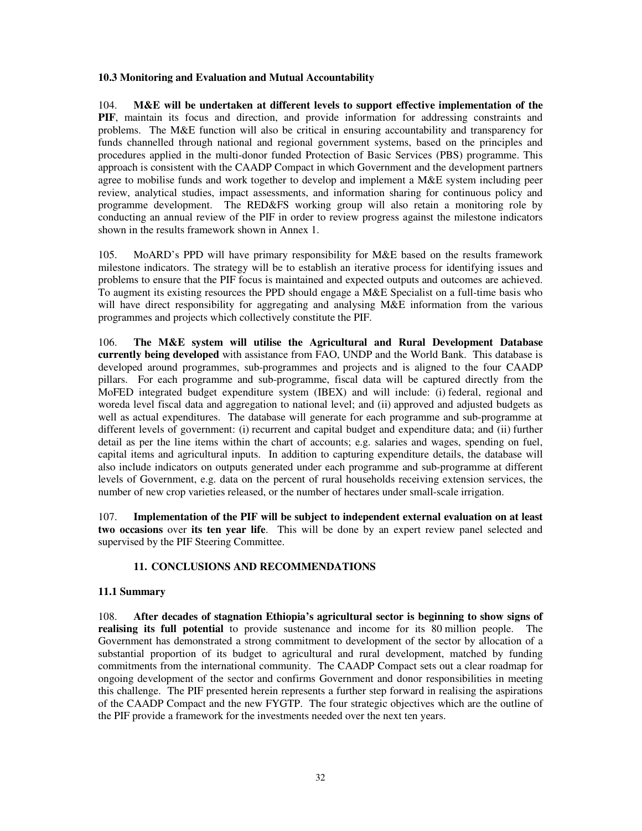### **10.3 Monitoring and Evaluation and Mutual Accountability**

104. **M&E will be undertaken at different levels to support effective implementation of the PIF**, maintain its focus and direction, and provide information for addressing constraints and problems. The M&E function will also be critical in ensuring accountability and transparency for funds channelled through national and regional government systems, based on the principles and procedures applied in the multi-donor funded Protection of Basic Services (PBS) programme. This approach is consistent with the CAADP Compact in which Government and the development partners agree to mobilise funds and work together to develop and implement a M&E system including peer review, analytical studies, impact assessments, and information sharing for continuous policy and programme development. The RED&FS working group will also retain a monitoring role by conducting an annual review of the PIF in order to review progress against the milestone indicators shown in the results framework shown in Annex 1.

105. MoARD's PPD will have primary responsibility for M&E based on the results framework milestone indicators. The strategy will be to establish an iterative process for identifying issues and problems to ensure that the PIF focus is maintained and expected outputs and outcomes are achieved. To augment its existing resources the PPD should engage a M&E Specialist on a full-time basis who will have direct responsibility for aggregating and analysing M&E information from the various programmes and projects which collectively constitute the PIF.

106. **The M&E system will utilise the Agricultural and Rural Development Database currently being developed** with assistance from FAO, UNDP and the World Bank. This database is developed around programmes, sub-programmes and projects and is aligned to the four CAADP pillars. For each programme and sub-programme, fiscal data will be captured directly from the MoFED integrated budget expenditure system (IBEX) and will include: (i) federal, regional and woreda level fiscal data and aggregation to national level; and (ii) approved and adjusted budgets as well as actual expenditures. The database will generate for each programme and sub-programme at different levels of government: (i) recurrent and capital budget and expenditure data; and (ii) further detail as per the line items within the chart of accounts; e.g. salaries and wages, spending on fuel, capital items and agricultural inputs. In addition to capturing expenditure details, the database will also include indicators on outputs generated under each programme and sub-programme at different levels of Government, e.g. data on the percent of rural households receiving extension services, the number of new crop varieties released, or the number of hectares under small-scale irrigation.

107. **Implementation of the PIF will be subject to independent external evaluation on at least two occasions** over **its ten year life**. This will be done by an expert review panel selected and supervised by the PIF Steering Committee.

### **11. CONCLUSIONS AND RECOMMENDATIONS**

#### **11.1 Summary**

108. **After decades of stagnation Ethiopia's agricultural sector is beginning to show signs of realising its full potential** to provide sustenance and income for its 80 million people. The Government has demonstrated a strong commitment to development of the sector by allocation of a substantial proportion of its budget to agricultural and rural development, matched by funding commitments from the international community. The CAADP Compact sets out a clear roadmap for ongoing development of the sector and confirms Government and donor responsibilities in meeting this challenge. The PIF presented herein represents a further step forward in realising the aspirations of the CAADP Compact and the new FYGTP. The four strategic objectives which are the outline of the PIF provide a framework for the investments needed over the next ten years.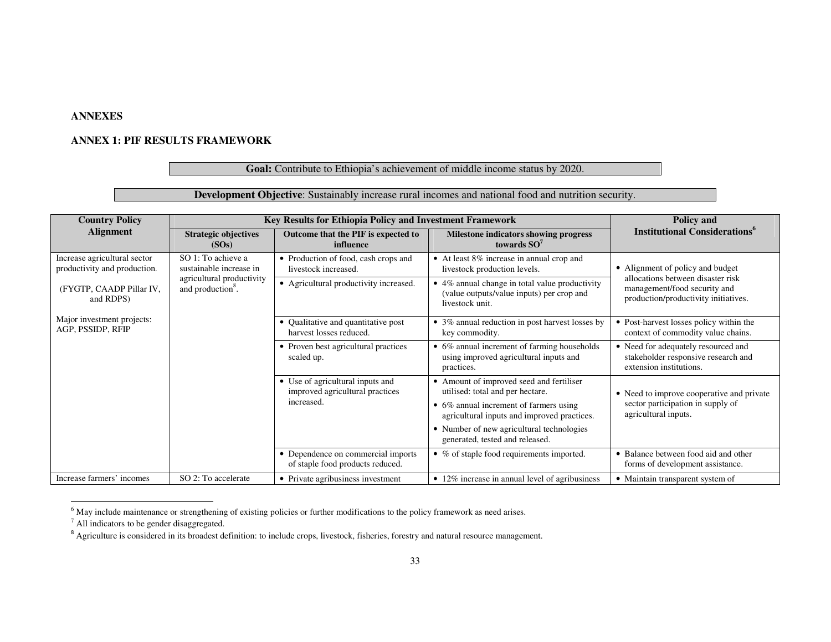# **ANNEXES**

### **ANNEX 1: PIF RESULTS FRAMEWORK**

## Goal: Contribute to Ethiopia's achievement of middle income status by 2020.

# **Development Objective**: Sustainably increase rural incomes and national food and nutrition security.

| <b>Country Policy</b>                                        | Key Results for Ethiopia Policy and Investment Framework                                 | Policy and                                                                        |                                                                                                                                                                       |                                                                                                           |
|--------------------------------------------------------------|------------------------------------------------------------------------------------------|-----------------------------------------------------------------------------------|-----------------------------------------------------------------------------------------------------------------------------------------------------------------------|-----------------------------------------------------------------------------------------------------------|
| <b>Alignment</b>                                             | <b>Strategic objectives</b><br>Outcome that the PIF is expected to<br>influence<br>(SOs) |                                                                                   | Milestone indicators showing progress<br>towards $SO7$                                                                                                                | <b>Institutional Considerations</b> <sup>o</sup>                                                          |
| Increase agricultural sector<br>productivity and production. | SO 1: To achieve a<br>sustainable increase in                                            | • Production of food, cash crops and<br>livestock increased.                      | • At least 8% increase in annual crop and<br>livestock production levels.                                                                                             | • Alignment of policy and budget                                                                          |
| (FYGTP, CAADP Pillar IV,<br>and RDPS)                        | agricultural productivity<br>and production <sup>8</sup> .                               | • Agricultural productivity increased.                                            | • 4% annual change in total value productivity<br>(value outputs/value inputs) per crop and<br>livestock unit.                                                        | allocations between disaster risk<br>management/food security and<br>production/productivity initiatives. |
| Major investment projects:<br>AGP, PSSIDP, RFIP              | Qualitative and quantitative post<br>harvest losses reduced.                             |                                                                                   | • 3% annual reduction in post harvest losses by<br>key commodity.                                                                                                     | • Post-harvest losses policy within the<br>context of commodity value chains.                             |
|                                                              |                                                                                          | • Proven best agricultural practices<br>scaled up.                                | • 6% annual increment of farming households<br>using improved agricultural inputs and<br>practices.                                                                   | • Need for adequately resourced and<br>stakeholder responsive research and<br>extension institutions.     |
|                                                              |                                                                                          | • Use of agricultural inputs and<br>improved agricultural practices<br>increased. | • Amount of improved seed and fertiliser<br>utilised: total and per hectare.<br>• 6% annual increment of farmers using<br>agricultural inputs and improved practices. | • Need to improve cooperative and private<br>sector participation in supply of<br>agricultural inputs.    |
|                                                              |                                                                                          |                                                                                   | • Number of new agricultural technologies<br>generated, tested and released.                                                                                          |                                                                                                           |
|                                                              |                                                                                          | • Dependence on commercial imports<br>of staple food products reduced.            | • % of staple food requirements imported.                                                                                                                             | • Balance between food aid and other<br>forms of development assistance.                                  |
| Increase farmers' incomes                                    | SO 2: To accelerate                                                                      | • Private agribusiness investment                                                 | • 12% increase in annual level of agribusiness                                                                                                                        | • Maintain transparent system of                                                                          |

 $<sup>6</sup>$  May include maintenance or strengthening of existing policies or further modifications to the policy framework as need arises.</sup>

<sup>7</sup> All indicators to be gender disaggregated.

 $8$  Agriculture is considered in its broadest definition: to include crops, livestock, fisheries, forestry and natural resource management.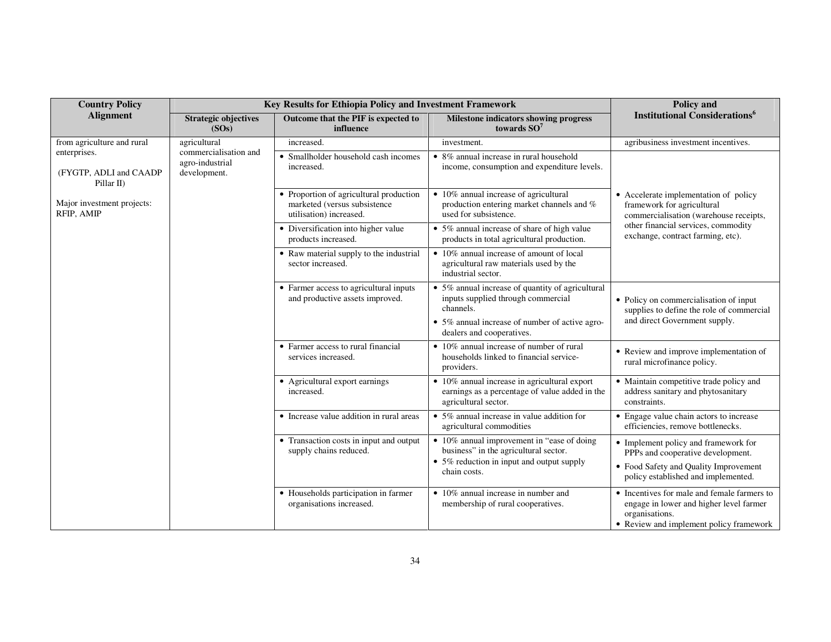| <b>Country Policy</b>                                | Key Results for Ethiopia Policy and Investment Framework         | Policy and                                                                                         |                                                                                                                                                                                    |                                                                                                                                                           |  |
|------------------------------------------------------|------------------------------------------------------------------|----------------------------------------------------------------------------------------------------|------------------------------------------------------------------------------------------------------------------------------------------------------------------------------------|-----------------------------------------------------------------------------------------------------------------------------------------------------------|--|
| <b>Alignment</b>                                     | <b>Strategic objectives</b><br>(SOs)                             | Outcome that the PIF is expected to<br>influence                                                   | Milestone indicators showing progress<br>towards $SO7$                                                                                                                             | <b>Institutional Considerations</b> <sup>6</sup>                                                                                                          |  |
| from agriculture and rural                           | agricultural                                                     | increased.                                                                                         | investment.                                                                                                                                                                        | agribusiness investment incentives.                                                                                                                       |  |
| enterprises.<br>(FYGTP, ADLI and CAADP<br>Pillar II) | commercialisation and<br>agro-industrial<br>development.         | • Smallholder household cash incomes<br>increased.                                                 | $\bullet$ 8% annual increase in rural household<br>income, consumption and expenditure levels.                                                                                     |                                                                                                                                                           |  |
| Major investment projects:<br>RFIP, AMIP             |                                                                  | • Proportion of agricultural production<br>marketed (versus subsistence<br>utilisation) increased. | • 10% annual increase of agricultural<br>production entering market channels and %<br>used for subsistence.                                                                        | • Accelerate implementation of policy<br>framework for agricultural<br>commercialisation (warehouse receipts,                                             |  |
|                                                      |                                                                  | • Diversification into higher value<br>products increased.                                         | • 5% annual increase of share of high value<br>products in total agricultural production.                                                                                          | other financial services, commodity<br>exchange, contract farming, etc).                                                                                  |  |
|                                                      |                                                                  | • Raw material supply to the industrial<br>sector increased.                                       | $\overline{\bullet}$ 10% annual increase of amount of local<br>agricultural raw materials used by the<br>industrial sector.                                                        |                                                                                                                                                           |  |
|                                                      |                                                                  | • Farmer access to agricultural inputs<br>and productive assets improved.                          | • 5% annual increase of quantity of agricultural<br>inputs supplied through commercial<br>channels.<br>• 5% annual increase of number of active agro-<br>dealers and cooperatives. | • Policy on commercialisation of input<br>supplies to define the role of commercial<br>and direct Government supply.                                      |  |
|                                                      |                                                                  | • Farmer access to rural financial<br>services increased.                                          | $\bullet$ 10% annual increase of number of rural<br>households linked to financial service-<br>providers.                                                                          | • Review and improve implementation of<br>rural microfinance policy.                                                                                      |  |
|                                                      |                                                                  | • Agricultural export earnings<br>increased.                                                       | • 10% annual increase in agricultural export<br>earnings as a percentage of value added in the<br>agricultural sector.                                                             | • Maintain competitive trade policy and<br>address sanitary and phytosanitary<br>constraints.                                                             |  |
|                                                      |                                                                  | • Increase value addition in rural areas                                                           | $\bullet$ 5% annual increase in value addition for<br>agricultural commodities                                                                                                     | • Engage value chain actors to increase<br>efficiencies, remove bottlenecks.                                                                              |  |
|                                                      |                                                                  | • Transaction costs in input and output<br>supply chains reduced.                                  | • 10% annual improvement in "ease of doing"<br>business" in the agricultural sector.<br>• 5% reduction in input and output supply<br>chain costs.                                  | • Implement policy and framework for<br>PPPs and cooperative development.<br>• Food Safety and Quality Improvement<br>policy established and implemented. |  |
|                                                      | • Households participation in farmer<br>organisations increased. |                                                                                                    | $\bullet$ 10% annual increase in number and<br>membership of rural cooperatives.                                                                                                   | • Incentives for male and female farmers to<br>engage in lower and higher level farmer<br>organisations.<br>• Review and implement policy framework       |  |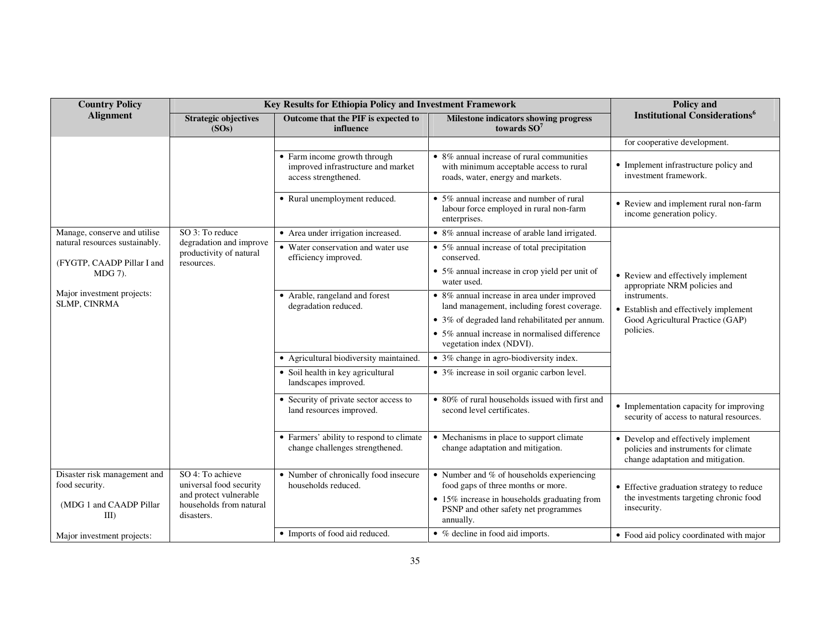| <b>Country Policy</b>                                        |                                                                  | Key Results for Ethiopia Policy and Investment Framework                                   |                                                                                                                                              | Policy and                                                                                                       |  |  |
|--------------------------------------------------------------|------------------------------------------------------------------|--------------------------------------------------------------------------------------------|----------------------------------------------------------------------------------------------------------------------------------------------|------------------------------------------------------------------------------------------------------------------|--|--|
| <b>Alignment</b>                                             | <b>Strategic objectives</b><br>(SOs)                             | Outcome that the PIF is expected to<br>influence                                           | <b>Milestone indicators showing progress</b><br>towards $SO7$                                                                                | <b>Institutional Considerations</b> <sup>6</sup>                                                                 |  |  |
|                                                              |                                                                  |                                                                                            |                                                                                                                                              | for cooperative development.                                                                                     |  |  |
|                                                              |                                                                  | • Farm income growth through<br>improved infrastructure and market<br>access strengthened. | • 8% annual increase of rural communities<br>with minimum acceptable access to rural<br>roads, water, energy and markets.                    | • Implement infrastructure policy and<br>investment framework.                                                   |  |  |
|                                                              |                                                                  | • Rural unemployment reduced.                                                              | • 5% annual increase and number of rural<br>labour force employed in rural non-farm<br>enterprises.                                          | • Review and implement rural non-farm<br>income generation policy.                                               |  |  |
| Manage, conserve and utilise                                 | SO 3: To reduce                                                  | • Area under irrigation increased.                                                         | • 8% annual increase of arable land irrigated.                                                                                               |                                                                                                                  |  |  |
| natural resources sustainably.<br>(FYGTP, CAADP Pillar I and | degradation and improve<br>productivity of natural<br>resources. | • Water conservation and water use<br>efficiency improved.                                 | $\overline{\bullet}$ 5% annual increase of total precipitation<br>conserved.                                                                 |                                                                                                                  |  |  |
| MDG 7).                                                      |                                                                  |                                                                                            | • 5% annual increase in crop yield per unit of<br>water used.                                                                                | • Review and effectively implement<br>appropriate NRM policies and                                               |  |  |
| Major investment projects:<br>SLMP, CINRMA                   |                                                                  | • Arable, rangeland and forest<br>degradation reduced.                                     | • 8% annual increase in area under improved<br>land management, including forest coverage.<br>• 3% of degraded land rehabilitated per annum. | instruments.<br>• Establish and effectively implement<br>Good Agricultural Practice (GAP)<br>policies.           |  |  |
|                                                              |                                                                  |                                                                                            | • 5% annual increase in normalised difference<br>vegetation index (NDVI).                                                                    |                                                                                                                  |  |  |
|                                                              |                                                                  | • Agricultural biodiversity maintained.                                                    | • 3% change in agro-biodiversity index.                                                                                                      |                                                                                                                  |  |  |
|                                                              |                                                                  | • Soil health in key agricultural<br>landscapes improved.                                  | • 3% increase in soil organic carbon level.                                                                                                  |                                                                                                                  |  |  |
|                                                              |                                                                  | • Security of private sector access to<br>land resources improved.                         | • 80% of rural households issued with first and<br>second level certificates.                                                                | • Implementation capacity for improving<br>security of access to natural resources.                              |  |  |
|                                                              |                                                                  | • Farmers' ability to respond to climate<br>change challenges strengthened.                | • Mechanisms in place to support climate<br>change adaptation and mitigation.                                                                | • Develop and effectively implement<br>policies and instruments for climate<br>change adaptation and mitigation. |  |  |
| Disaster risk management and                                 | SO 4: To achieve                                                 | • Number of chronically food insecure                                                      | $\bullet$ Number and % of households experiencing                                                                                            |                                                                                                                  |  |  |
| food security.                                               | universal food security<br>and protect vulnerable                | households reduced.                                                                        | food gaps of three months or more.                                                                                                           | • Effective graduation strategy to reduce                                                                        |  |  |
| (MDG 1 and CAADP Pillar<br>$III$ )                           | households from natural<br>disasters.                            |                                                                                            | • 15% increase in households graduating from<br>PSNP and other safety net programmes<br>annually.                                            | the investments targeting chronic food<br>insecurity.                                                            |  |  |
| Major investment projects:                                   |                                                                  | • Imports of food aid reduced.                                                             | • % decline in food aid imports.                                                                                                             | • Food aid policy coordinated with major                                                                         |  |  |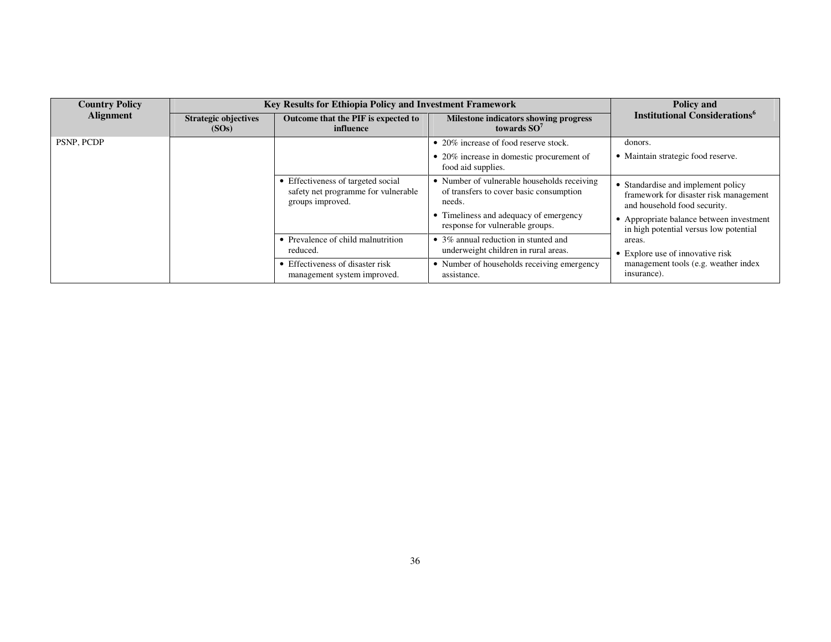| <b>Country Policy</b> | Key Results for Ethiopia Policy and Investment Framework | Policy and                                                                                    |                                                                                                  |                                                                                                              |  |  |
|-----------------------|----------------------------------------------------------|-----------------------------------------------------------------------------------------------|--------------------------------------------------------------------------------------------------|--------------------------------------------------------------------------------------------------------------|--|--|
| <b>Alignment</b>      | <b>Strategic objectives</b><br>(SOs)                     | Outcome that the PIF is expected to<br>influence                                              | Milestone indicators showing progress<br>towards $SO7$                                           | <b>Institutional Considerations</b> <sup>6</sup>                                                             |  |  |
| PSNP, PCDP            |                                                          |                                                                                               | • 20% increase of food reserve stock.                                                            | donors.                                                                                                      |  |  |
|                       |                                                          |                                                                                               | • 20% increase in domestic procurement of<br>food aid supplies.                                  | • Maintain strategic food reserve.                                                                           |  |  |
|                       |                                                          | • Effectiveness of targeted social<br>safety net programme for vulnerable<br>groups improved. | • Number of vulnerable households receiving<br>of transfers to cover basic consumption<br>needs. | • Standardise and implement policy<br>framework for disaster risk management<br>and household food security. |  |  |
|                       |                                                          |                                                                                               | • Timeliness and adequacy of emergency<br>response for vulnerable groups.                        | • Appropriate balance between investment<br>in high potential versus low potential                           |  |  |
|                       |                                                          | • Prevalence of child malnutrition<br>reduced.                                                | • 3% annual reduction in stunted and<br>underweight children in rural areas.                     | areas.<br>• Explore use of innovative risk                                                                   |  |  |
|                       |                                                          | • Effectiveness of disaster risk<br>management system improved.                               | • Number of households receiving emergency<br>assistance.                                        | management tools (e.g. weather index<br>insurance).                                                          |  |  |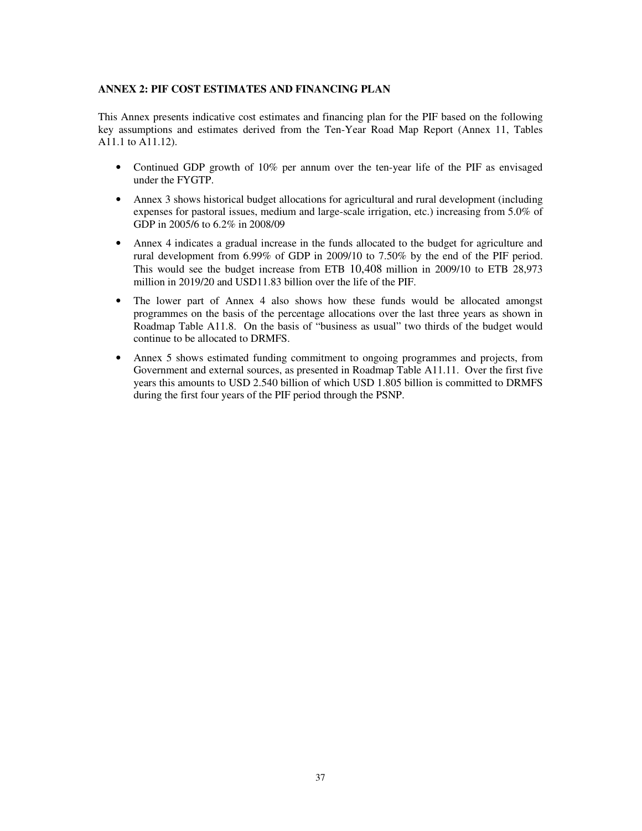## **ANNEX 2: PIF COST ESTIMATES AND FINANCING PLAN**

This Annex presents indicative cost estimates and financing plan for the PIF based on the following key assumptions and estimates derived from the Ten-Year Road Map Report (Annex 11, Tables A11.1 to A11.12).

- Continued GDP growth of 10% per annum over the ten-year life of the PIF as envisaged under the FYGTP.
- Annex 3 shows historical budget allocations for agricultural and rural development (including expenses for pastoral issues, medium and large-scale irrigation, etc.) increasing from 5.0% of GDP in 2005/6 to 6.2% in 2008/09
- Annex 4 indicates a gradual increase in the funds allocated to the budget for agriculture and rural development from 6.99% of GDP in 2009/10 to 7.50% by the end of the PIF period. This would see the budget increase from ETB 10,408 million in 2009/10 to ETB 28,973 million in 2019/20 and USD11.83 billion over the life of the PIF.
- The lower part of Annex 4 also shows how these funds would be allocated amongst programmes on the basis of the percentage allocations over the last three years as shown in Roadmap Table A11.8. On the basis of "business as usual" two thirds of the budget would continue to be allocated to DRMFS.
- Annex 5 shows estimated funding commitment to ongoing programmes and projects, from Government and external sources, as presented in Roadmap Table A11.11. Over the first five years this amounts to USD 2.540 billion of which USD 1.805 billion is committed to DRMFS during the first four years of the PIF period through the PSNP.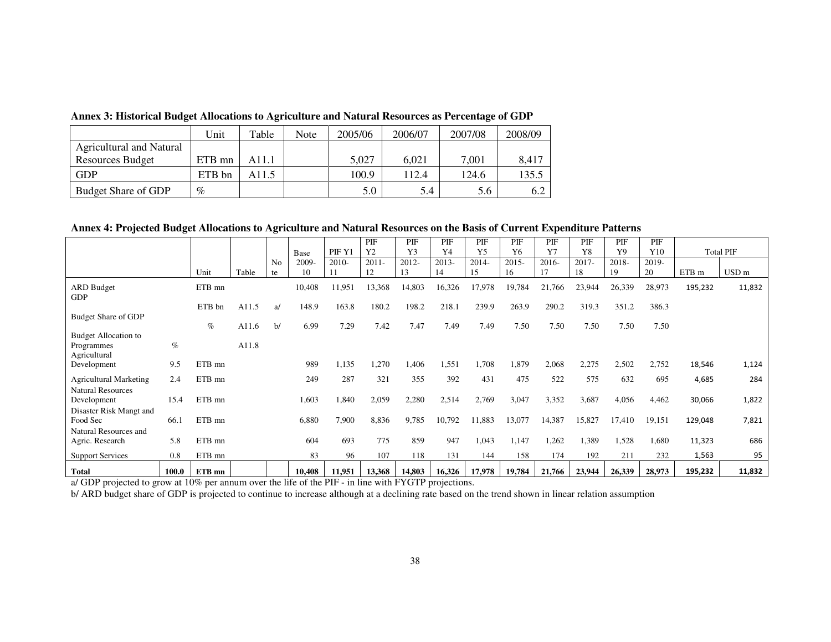|                          | Unit   | Table | Note | 2005/06 | 2006/07 | 2007/08 | 2008/09 |
|--------------------------|--------|-------|------|---------|---------|---------|---------|
| Agricultural and Natural |        |       |      |         |         |         |         |
| <b>Resources Budget</b>  | ETB mn | A11.1 |      | 5.027   | 6.021   | 7.001   | 8.417   |
| <b>GDP</b>               | ETB bn | A11.5 |      | 100.9   | 112.4   | 124.6   | 135.5   |
| Budget Share of GDP      | $\%$   |       |      | 5.0     | 5.4     | 5.6     | 6.2     |

**Annex 3: Historical Budget Allocations to Agriculture and Natural Resources as Percentage of GDP** 

## **Annex 4: Projected Budget Allocations to Agriculture and Natural Resources on the Basis of Current Expenditure Patterns**

|                                          |       |        |       |                | Base   | PIF Y1  | PIF<br>Y <sub>2</sub> | PIF<br>Y3 | PIF<br>Y4 | PIF<br>Y <sub>5</sub> | PIF<br>Y <sub>6</sub> | PIF<br>Y7 | PIF<br>Y8 | PIF<br>Y9 | PIF<br>Y10 |         | <b>Total PIF</b> |
|------------------------------------------|-------|--------|-------|----------------|--------|---------|-----------------------|-----------|-----------|-----------------------|-----------------------|-----------|-----------|-----------|------------|---------|------------------|
|                                          |       |        |       | N <sub>o</sub> | 2009-  | $2010-$ | $2011 -$              | 2012-     | $2013-$   | $2014-$               | $2015 -$              | $2016 -$  | $2017 -$  | 2018-     | 2019-      |         |                  |
|                                          |       | Unit   | Table | te             | 10     |         | 12                    | 13        | 14        | 15                    | 16                    | 17        | 18        | 19        | 20         | ETB m   | USD <sub>m</sub> |
| <b>ARD Budget</b><br><b>GDP</b>          |       | ETB mn |       |                | 10,408 | 11,951  | 13,368                | 14,803    | 16,326    | 17,978                | 19,784                | 21,766    | 23,944    | 26,339    | 28,973     | 195,232 | 11,832           |
|                                          |       | ETB bn | A11.5 | a              | 148.9  | 163.8   | 180.2                 | 198.2     | 218.1     | 239.9                 | 263.9                 | 290.2     | 319.3     | 351.2     | 386.3      |         |                  |
| <b>Budget Share of GDP</b>               |       | $\%$   | A11.6 | b/             | 6.99   | 7.29    | 7.42                  | 7.47      | 7.49      | 7.49                  | 7.50                  | 7.50      | 7.50      | 7.50      | 7.50       |         |                  |
| Budget Allocation to                     |       |        |       |                |        |         |                       |           |           |                       |                       |           |           |           |            |         |                  |
| Programmes<br>Agricultural               | $\%$  |        | A11.8 |                |        |         |                       |           |           |                       |                       |           |           |           |            |         |                  |
| Development                              | 9.5   | ETB mn |       |                | 989    | 1,135   | 1,270                 | 1,406     | 1,551     | 1,708                 | 1,879                 | 2,068     | 2,275     | 2,502     | 2,752      | 18,546  | 1,124            |
| <b>Agricultural Marketing</b>            | 2.4   | ETB mn |       |                | 249    | 287     | 321                   | 355       | 392       | 431                   | 475                   | 522       | 575       | 632       | 695        | 4,685   | 284              |
| <b>Natural Resources</b><br>Development  | 15.4  | ETB mn |       |                | 1,603  | 1,840   | 2,059                 | 2,280     | 2,514     | 2,769                 | 3,047                 | 3,352     | 3,687     | 4,056     | 4,462      | 30,066  | 1,822            |
| Disaster Risk Mangt and                  |       |        |       |                |        |         |                       |           |           |                       |                       |           |           |           |            |         |                  |
| Food Sec                                 | 66.1  | ETB mn |       |                | 6,880  | 7,900   | 8,836                 | 9,785     | 10,792    | 11,883                | 13,077                | 14,387    | 15,827    | 17,410    | 19,151     | 129,048 | 7,821            |
| Natural Resources and<br>Agric. Research | 5.8   | ETB mn |       |                | 604    | 693     | 775                   | 859       | 947       | 1,043                 | 1,147                 | 1,262     | 1,389     | 1,528     | 1,680      | 11,323  | 686              |
| <b>Support Services</b>                  | 0.8   | ETB mn |       |                | 83     | 96      | 107                   | 118       | 131       | 144                   | 158                   | 174       | 192       | 211       | 232        | 1,563   | 95               |
| <b>Total</b>                             | 100.0 | ETB mn |       |                | 10,408 | 11,951  | 13,368                | 14,803    | 16,326    | 17,978                | 19,784                | 21,766    | 23,944    | 26,339    | 28,973     | 195,232 | 11,832           |

a/ GDP projected to grow at 10% per annum over the life of the PIF - in line with FYGTP projections.<br>b/ ARD budget share of GDP is projected to continue to increase although at a declining rate based on the trend shown in